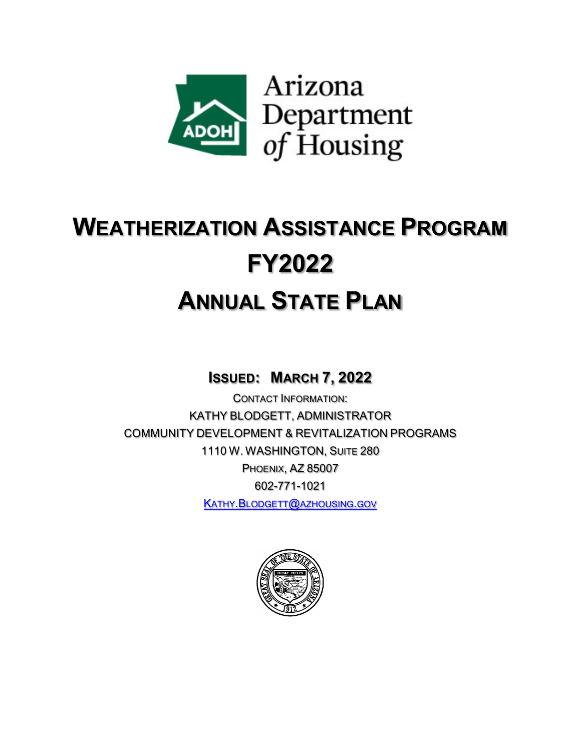

## **WEATHERIZATION ASSISTANCE PROGRAM FY2022 ANNUAL STATE PLAN**

**ISSUED: MARCH 7, 2022**

CONTACT INFORMATION: KATHY BLODGETT, ADMINISTRATOR COMMUNITY DEVELOPMENT & REVITALIZATION PROGRAMS 1110 W. WASHINGTON, SUITE 280 PHOENIX, AZ 85007 602-771-1021 [KATHY.BLODGETT@AZHOUSING.GOV](mailto:Kathy.Blodgett@azhousing.gov)

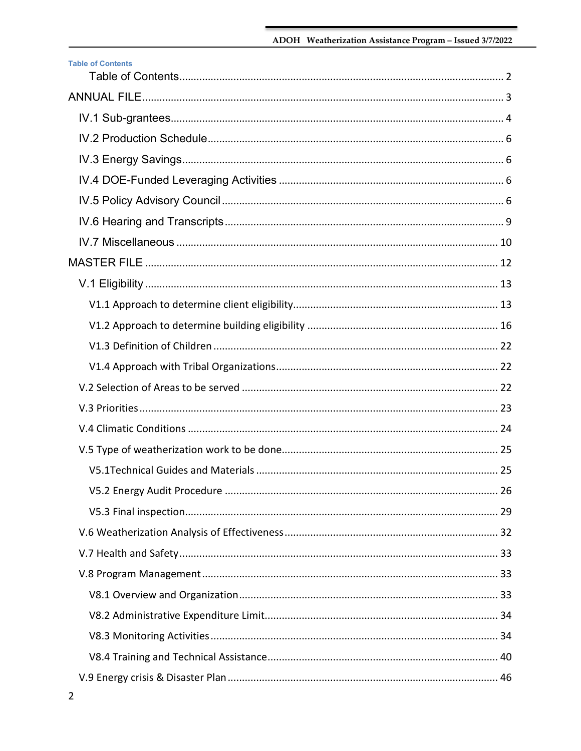<span id="page-1-0"></span>

| <b>Table of Contents</b> |  |
|--------------------------|--|
|                          |  |
|                          |  |
|                          |  |
|                          |  |
|                          |  |
|                          |  |
|                          |  |
|                          |  |
|                          |  |
|                          |  |
|                          |  |
|                          |  |
|                          |  |
|                          |  |
|                          |  |
|                          |  |
|                          |  |
|                          |  |
|                          |  |
|                          |  |
|                          |  |
|                          |  |
|                          |  |
|                          |  |
|                          |  |
|                          |  |
|                          |  |
|                          |  |
|                          |  |
|                          |  |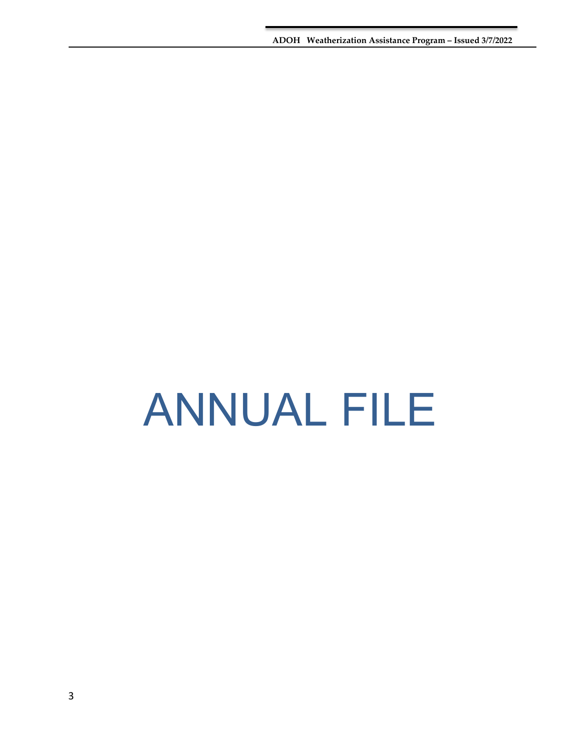**ADOH Weatherization Assistance Program – Issued 3/7/2022**

# <span id="page-2-0"></span>ANNUAL FILE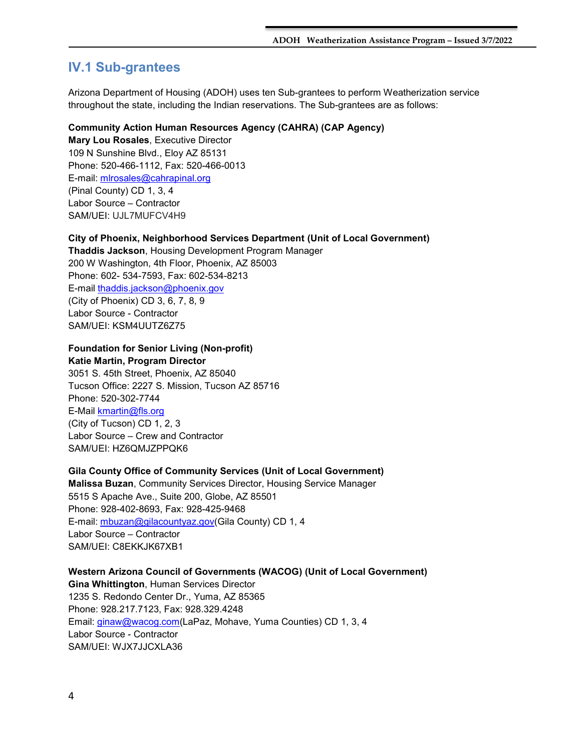## <span id="page-3-0"></span>**IV.1 Sub-grantees**

Arizona Department of Housing (ADOH) uses ten Sub-grantees to perform Weatherization service throughout the state, including the Indian reservations. The Sub-grantees are as follows:

## **Community Action Human Resources Agency (CAHRA) (CAP Agency)**

**Mary Lou Rosales**, Executive Director 109 N Sunshine Blvd., Eloy AZ 85131 Phone: 520-466-1112, Fax: 520-466-0013 E-mail: [mlrosales@cahrapinal.org](mailto:mlrosales@cahrapinal.org)  (Pinal County) CD 1, 3, 4 Labor Source – Contractor SAM/UEI: UJL7MUFCV4H9

### **City of Phoenix, Neighborhood Services Department (Unit of Local Government)**

**Thaddis Jackson**, Housing Development Program Manager 200 W Washington, 4th Floor, Phoenix, AZ 85003 Phone: 602- 534-7593, Fax: 602-534-8213 E-mail thaddis.jackson@phoenix.gov (City of Phoenix) CD 3, 6, 7, 8, 9 Labor Source - Contractor SAM/UEI: KSM4UUTZ6Z75

## **Foundation for Senior Living (Non-profit) Katie Martin, Program Director**

3051 S. 45th Street, Phoenix, AZ 85040 Tucson Office: 2227 S. Mission, Tucson AZ 85716 Phone: 520-302-7744 E-Mail kmartin@fls.org (City of Tucson) CD 1, 2, 3 Labor Source – Crew and Contractor SAM/UEI: HZ6QMJZPPQK6

## **Gila County Office of Community Services (Unit of Local Government)**

**Malissa Buzan**, Community Services Director, Housing Service Manager 5515 S Apache Ave., Suite 200, Globe, AZ 85501 Phone: 928-402-8693, Fax: 928-425-9468 E-mail: [mbuzan@gilacountyaz.gov\(](mailto:mbuzan@gilacountyaz.gov)Gila County) CD 1, 4 Labor Source – Contractor SAM/UEI: C8EKKJK67XB1

**Western Arizona Council of Governments (WACOG) (Unit of Local Government) Gina Whittington**, Human Services Director 1235 S. Redondo Center Dr., Yuma, AZ 85365 Phone: 928.217.7123, Fax: 928.329.4248 Email: [ginaw@wacog.com\(](mailto:ginaw@wacog.com)LaPaz, Mohave, Yuma Counties) CD 1, 3, 4 Labor Source - Contractor SAM/UEI: WJX7JJCXLA36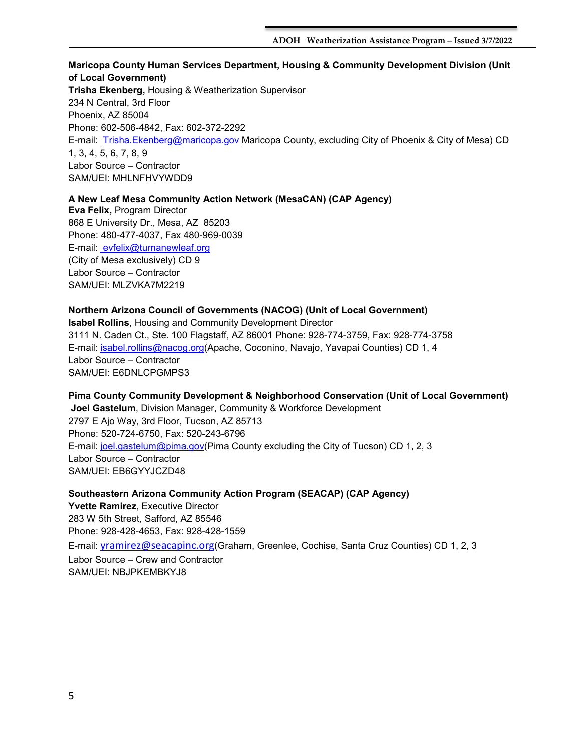## **Maricopa County Human Services Department, Housing & Community Development Division (Unit of Local Government) Trisha Ekenberg,** Housing & Weatherization Supervisor 234 N Central, 3rd Floor Phoenix, AZ 85004

Phone: 602-506-4842, Fax: 602-372-2292

E-mail: [Trisha.Ekenberg@maricopa.gov](mailto:Trisha.Ekenberg@maricopa.gov) Maricopa County, excluding City of Phoenix & City of Mesa) CD 1, 3, 4, 5, 6, 7, 8, 9 Labor Source – Contractor SAM/UEI: MHLNFHVYWDD9

**A New Leaf Mesa Community Action Network (MesaCAN) (CAP Agency) Eva Felix,** Program Director 868 E University Dr., Mesa, AZ 85203 Phone: 480-477-4037, Fax 480-969-0039 E-mail: [evfelix@turnanewleaf.org](mailto:evfelix@turnanewleaf.org)  (City of Mesa exclusively) CD 9 Labor Source – Contractor SAM/UEI: MLZVKA7M2219

## **Northern Arizona Council of Governments (NACOG) (Unit of Local Government) Isabel Rollins**, Housing and Community Development Director 3111 N. Caden Ct., Ste. 100 Flagstaff, AZ 86001 Phone: 928-774-3759, Fax: 928-774-3758 E-mail: [isabel.rollins@nacog.org\(](mailto:isabel.rollins@nacog.org)Apache, Coconino, Navajo, Yavapai Counties) CD 1, 4 Labor Source – Contractor SAM/UEI: E6DNLCPGMPS3

**Pima County Community Development & Neighborhood Conservation (Unit of Local Government) Joel Gastelum**, Division Manager, Community & Workforce Development 2797 E Ajo Way, 3rd Floor, Tucson, AZ 85713 Phone: 520-724-6750, Fax: 520-243-6796 E-mail: [joel.gastelum@pima.gov\(](mailto:joel.gastelum@pima.gov)Pima County excluding the City of Tucson) CD 1, 2, 3 Labor Source – Contractor SAM/UEI: EB6GYYJCZD48

**Southeastern Arizona Community Action Program (SEACAP) (CAP Agency) Yvette Ramirez**, Executive Director 283 W 5th Street, Safford, AZ 85546 Phone: 928-428-4653, Fax: 928-428-1559 E-mail: [yramirez@seacapinc.org](mailto:yramirez@seacapinc.org)(Graham, Greenlee, Cochise, Santa Cruz Counties) CD 1, 2, 3 Labor Source – Crew and Contractor SAM/UEI: NBJPKEMBKYJ8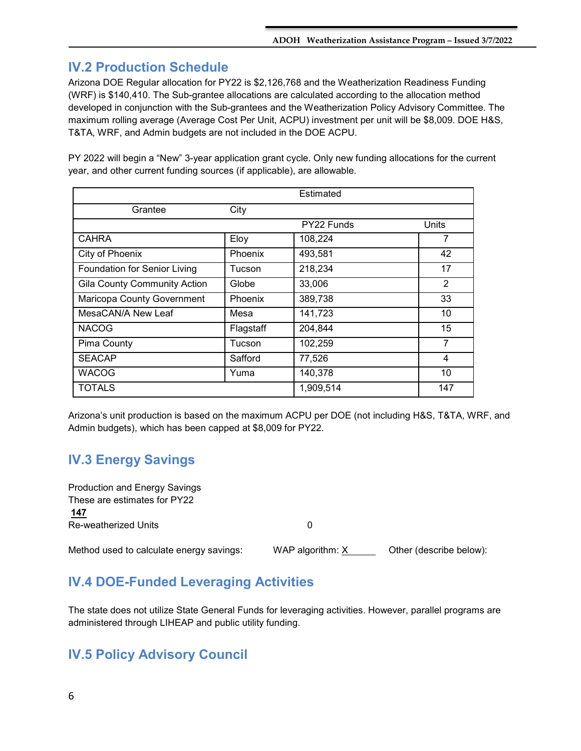## <span id="page-5-0"></span>**IV.2 Production Schedule**

Arizona DOE Regular allocation for PY22 is \$2,126,768 and the Weatherization Readiness Funding (WRF) is \$140,410. The Sub-grantee allocations are calculated according to the allocation method developed in conjunction with the Sub-grantees and the Weatherization Policy Advisory Committee. The maximum rolling average (Average Cost Per Unit, ACPU) investment per unit will be \$8,009. DOE H&S, T&TA, WRF, and Admin budgets are not included in the DOE ACPU.

PY 2022 will begin a "New" 3-year application grant cycle. Only new funding allocations for the current year, and other current funding sources (if applicable), are allowable.

|                                     |           | Estimated  |       |
|-------------------------------------|-----------|------------|-------|
| Grantee                             | City      |            |       |
|                                     |           | PY22 Funds | Units |
| <b>CAHRA</b>                        | Eloy      | 108,224    | 7     |
| City of Phoenix                     | Phoenix   | 493,581    | 42    |
| Foundation for Senior Living        | Tucson    | 218,234    | 17    |
| <b>Gila County Community Action</b> | Globe     | 33,006     | 2     |
| Maricopa County Government          | Phoenix   | 389,738    | 33    |
| MesaCAN/A New Leaf                  | Mesa      | 141,723    | 10    |
| <b>NACOG</b>                        | Flagstaff | 204,844    | 15    |
| Pima County                         | Tucson    | 102,259    | 7     |
| <b>SEACAP</b>                       | Safford   | 77,526     | 4     |
| <b>WACOG</b>                        | Yuma      | 140,378    | 10    |
| <b>TOTALS</b>                       |           | 1,909,514  | 147   |

Arizona's unit production is based on the maximum ACPU per DOE (not including H&S, T&TA, WRF, and Admin budgets), which has been capped at \$8,009 for PY22.

## <span id="page-5-1"></span>**IV.3 Energy Savings**

| Production and Energy Savings            |                  |                         |
|------------------------------------------|------------------|-------------------------|
| These are estimates for PY22             |                  |                         |
| 147                                      |                  |                         |
| Re-weatherized Units                     |                  |                         |
|                                          |                  |                         |
| Method used to calculate energy savings: | WAP algorithm: X | Other (describe below): |

## <span id="page-5-2"></span>**IV.4 DOE-Funded Leveraging Activities**

The state does not utilize State General Funds for leveraging activities. However, parallel programs are administered through LIHEAP and public utility funding.

## <span id="page-5-3"></span>**IV.5 Policy Advisory Council**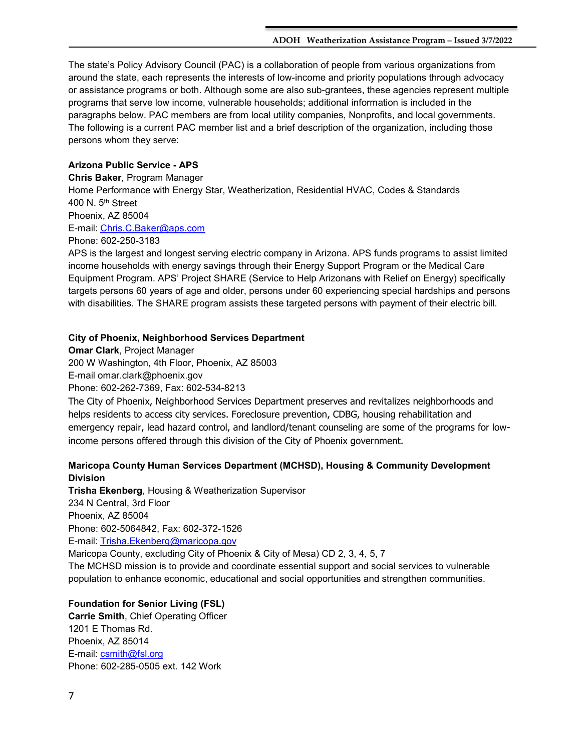The state's Policy Advisory Council (PAC) is a collaboration of people from various organizations from around the state, each represents the interests of low-income and priority populations through advocacy or assistance programs or both. Although some are also sub-grantees, these agencies represent multiple programs that serve low income, vulnerable households; additional information is included in the paragraphs below. PAC members are from local utility companies, Nonprofits, and local governments. The following is a current PAC member list and a brief description of the organization, including those persons whom they serve:

## **Arizona Public Service - APS**

**Chris Baker**, Program Manager Home Performance with Energy Star, Weatherization, Residential HVAC, Codes & Standards 400 N. 5th Street Phoenix, AZ 85004 E-mail: [Chris.C.Baker@aps.com](mailto:Chris.C.Baker@aps.com) Phone: 602-250-3183

APS is the largest and longest serving electric company in Arizona. APS funds programs to assist limited income households with energy savings through their Energy Support Program or the Medical Care Equipment Program. APS' Project SHARE (Service to Help Arizonans with Relief on Energy) specifically targets persons 60 years of age and older, persons under 60 experiencing special hardships and persons with disabilities. The SHARE program assists these targeted persons with payment of their electric bill.

### **City of Phoenix, Neighborhood Services Department**

**Omar Clark**, Project Manager 200 W Washington, 4th Floor, Phoenix, AZ 85003 E-mail omar.clark@phoenix.gov Phone: 602-262-7369, Fax: 602-534-8213

The City of Phoenix, Neighborhood Services Department preserves and revitalizes neighborhoods and helps residents to access city services. Foreclosure prevention, CDBG, housing rehabilitation and emergency repair, lead hazard control, and landlord/tenant counseling are some of the programs for lowincome persons offered through this division of the City of Phoenix government.

## **Maricopa County Human Services Department (MCHSD), Housing & Community Development Division**

**Trisha Ekenberg**, Housing & Weatherization Supervisor 234 N Central, 3rd Floor Phoenix, AZ 85004 Phone: 602-5064842, Fax: 602-372-1526 E-mail: Trisha.Ekenberg@maricopa.gov Maricopa County, excluding City of Phoenix & City of Mesa) CD 2, 3, 4, 5, 7 The MCHSD mission is to provide and coordinate essential support and social services to vulnerable

population to enhance economic, educational and social opportunities and strengthen communities.

### **Foundation for Senior Living (FSL)**

**Carrie Smith**, Chief Operating Officer 1201 E Thomas Rd. Phoenix, AZ 85014 E-mail: [csmith@fsl.org](mailto:csmith@fsl.org)  Phone: 602-285-0505 ext. 142 Work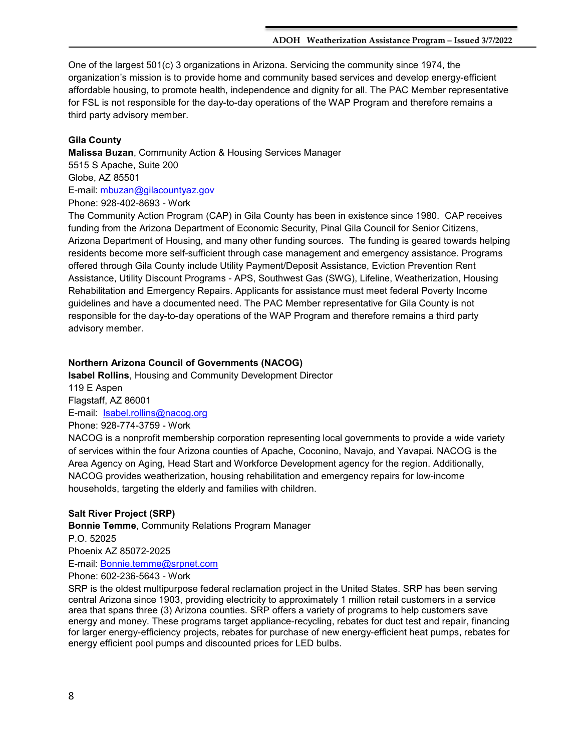One of the largest 501(c) 3 organizations in Arizona. Servicing the community since 1974, the organization's mission is to provide home and community based services and develop energy-efficient affordable housing, to promote health, independence and dignity for all. The PAC Member representative for FSL is not responsible for the day-to-day operations of the WAP Program and therefore remains a third party advisory member.

## **Gila County**

**Malissa Buzan**, Community Action & Housing Services Manager 5515 S Apache, Suite 200 Globe, AZ 85501 E-mail: [mbuzan@gilacountyaz.gov](mailto:mbuzan@gilacountyaz.gov)  Phone: 928-402-8693 - Work

The Community Action Program (CAP) in Gila County has been in existence since 1980. CAP receives funding from the Arizona Department of Economic Security, Pinal Gila Council for Senior Citizens, Arizona Department of Housing, and many other funding sources. The funding is geared towards helping residents become more self-sufficient through case management and emergency assistance. Programs offered through Gila County include Utility Payment/Deposit Assistance, Eviction Prevention Rent Assistance, Utility Discount Programs - APS, Southwest Gas (SWG), Lifeline, Weatherization, Housing Rehabilitation and Emergency Repairs. Applicants for assistance must meet federal Poverty Income guidelines and have a documented need. The PAC Member representative for Gila County is not responsible for the day-to-day operations of the WAP Program and therefore remains a third party advisory member.

## **Northern Arizona Council of Governments (NACOG)**

**Isabel Rollins**, Housing and Community Development Director 119 E Aspen Flagstaff, AZ 86001 E-mail: [Isabel.rollins@nacog.org](mailto:Isabel.rollins@nacog.org)  Phone: 928-774-3759 - Work NACOG is a nonprofit membership corporation representing local governments to provide a wide variety

of services within the four Arizona counties of Apache, Coconino, Navajo, and Yavapai. NACOG is the Area Agency on Aging, Head Start and Workforce Development agency for the region. Additionally, NACOG provides weatherization, housing rehabilitation and emergency repairs for low-income households, targeting the elderly and families with children.

## **Salt River Project (SRP)**

**Bonnie Temme**, Community Relations Program Manager P.O. 52025 Phoenix AZ 85072-2025 E-mail: [Bonnie.temme@srpnet.com](mailto:Bonnie.temme@srpnet.com)  Phone: 602-236-5643 - Work

SRP is the oldest multipurpose federal reclamation project in the United States. SRP has been serving central Arizona since 1903, providing electricity to approximately 1 million retail customers in a service area that spans three (3) Arizona counties. SRP offers a variety of programs to help customers save energy and money. These programs target appliance-recycling, rebates for duct test and repair, financing for larger energy-efficiency projects, rebates for purchase of new energy-efficient heat pumps, rebates for energy efficient pool pumps and discounted prices for LED bulbs.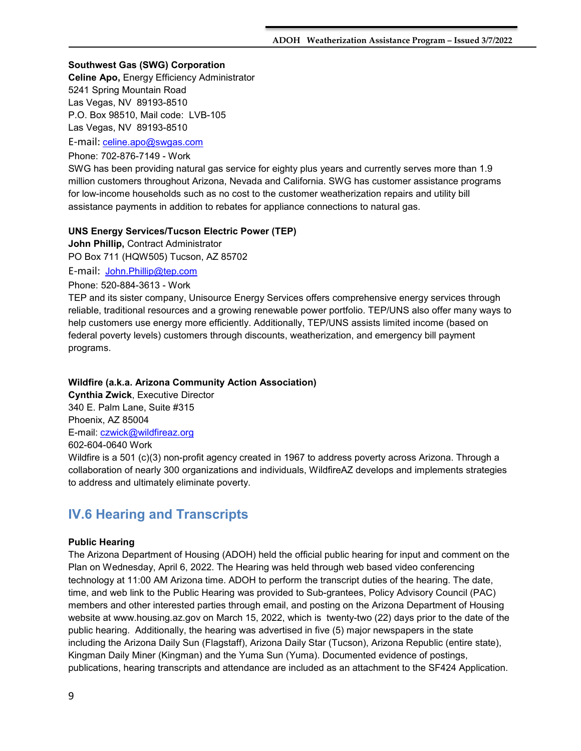#### **Southwest Gas (SWG) Corporation**

**Celine Apo,** Energy Efficiency Administrator 5241 Spring Mountain Road Las Vegas, NV 89193-8510 P.O. Box 98510, Mail code: LVB-105 Las Vegas, NV 89193-8510

E-mail: [celine.apo@swgas.com](mailto:kimberly.lukasiak@swgas.com) 

Phone: 702-876-7149 - Work

SWG has been providing natural gas service for eighty plus years and currently serves more than 1.9 million customers throughout Arizona, Nevada and California. SWG has customer assistance programs for low-income households such as no cost to the customer weatherization repairs and utility bill assistance payments in addition to rebates for appliance connections to natural gas.

### **UNS Energy Services/Tucson Electric Power (TEP)**

**John Phillip,** Contract Administrator PO Box 711 (HQW505) Tucson, AZ 85702

E-mail: [John.Phillip@tep.com](mailto:John.Phillip@tep.com)

Phone: 520-884-3613 - Work

TEP and its sister company, Unisource Energy Services offers comprehensive energy services through reliable, traditional resources and a growing renewable power portfolio. TEP/UNS also offer many ways to help customers use energy more efficiently. Additionally, TEP/UNS assists limited income (based on federal poverty levels) customers through discounts, weatherization, and emergency bill payment programs.

#### **Wildfire (a.k.a. Arizona Community Action Association)**

**Cynthia Zwick**, Executive Director 340 E. Palm Lane, Suite #315 Phoenix, AZ 85004 E-mail: czwick@wildfireaz.org 602-604-0640 Work

Wildfire is a 501 (c)(3) non-profit agency created in 1967 to address poverty across Arizona. Through a collaboration of nearly 300 organizations and individuals, WildfireAZ develops and implements strategies to address and ultimately eliminate poverty.

## <span id="page-8-0"></span>**IV.6 Hearing and Transcripts**

### **Public Hearing**

The Arizona Department of Housing (ADOH) held the official public hearing for input and comment on the Plan on Wednesday, April 6, 2022. The Hearing was held through web based video conferencing technology at 11:00 AM Arizona time. ADOH to perform the transcript duties of the hearing. The date, time, and web link to the Public Hearing was provided to Sub-grantees, Policy Advisory Council (PAC) members and other interested parties through email, and posting on the Arizona Department of Housing website at www.housing.az.gov on March 15, 2022, which is twenty-two (22) days prior to the date of the public hearing. Additionally, the hearing was advertised in five (5) major newspapers in the state including the Arizona Daily Sun (Flagstaff), Arizona Daily Star (Tucson), Arizona Republic (entire state), Kingman Daily Miner (Kingman) and the Yuma Sun (Yuma). Documented evidence of postings, publications, hearing transcripts and attendance are included as an attachment to the SF424 Application.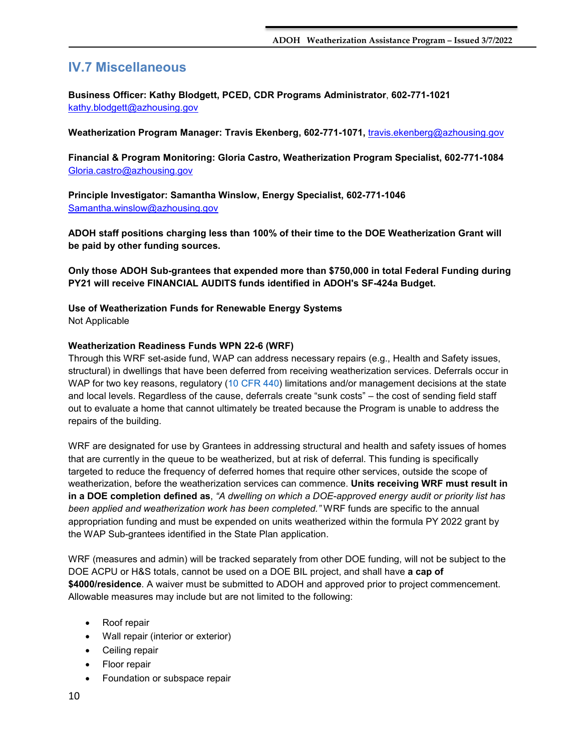## <span id="page-9-0"></span>**IV.7 Miscellaneous**

**Business Officer: Kathy Blodgett, PCED, CDR Programs Administrator**, **602-771-1021**  [kathy.blodgett@azhousing.gov](mailto:kathy.blodgett@azhousing.gov)

**Weatherization Program Manager: Travis Ekenberg, 602-771-1071,** [travis.ekenberg@azhousing.gov](mailto:travis.ekenberg@azhousing.gov)

**Financial & Program Monitoring: Gloria Castro, Weatherization Program Specialist, 602-771-1084** [Gloria.castro@azhousing.gov](mailto:Gloria.castro@azhousing.gov)

**Principle Investigator: Samantha Winslow, Energy Specialist, 602-771-1046**  [Samantha.winslow@azhousing.gov](mailto:Samantha.winslow@azhousing.gov)

**ADOH staff positions charging less than 100% of their time to the DOE Weatherization Grant will be paid by other funding sources.**

**Only those ADOH Sub-grantees that expended more than \$750,000 in total Federal Funding during PY21 will receive FINANCIAL AUDITS funds identified in ADOH's SF-424a Budget.**

**Use of Weatherization Funds for Renewable Energy Systems**

Not Applicable

## **Weatherization Readiness Funds WPN 22-6 (WRF)**

Through this WRF set-aside fund, WAP can address necessary repairs (e.g., Health and Safety issues, structural) in dwellings that have been deferred from receiving weatherization services. Deferrals occur in WAP for two key reasons, regulatory (10 CFR 440) limitations and/or management decisions at the state and local levels. Regardless of the cause, deferrals create "sunk costs" – the cost of sending field staff out to evaluate a home that cannot ultimately be treated because the Program is unable to address the repairs of the building.

WRF are designated for use by Grantees in addressing structural and health and safety issues of homes that are currently in the queue to be weatherized, but at risk of deferral. This funding is specifically targeted to reduce the frequency of deferred homes that require other services, outside the scope of weatherization, before the weatherization services can commence. **Units receiving WRF must result in in a DOE completion defined as**, *"A dwelling on which a DOE-approved energy audit or priority list has been applied and weatherization work has been completed."* WRF funds are specific to the annual appropriation funding and must be expended on units weatherized within the formula PY 2022 grant by the WAP Sub-grantees identified in the State Plan application.

WRF (measures and admin) will be tracked separately from other DOE funding, will not be subject to the DOE ACPU or H&S totals, cannot be used on a DOE BIL project, and shall have **a cap of \$4000/residence**. A waiver must be submitted to ADOH and approved prior to project commencement. Allowable measures may include but are not limited to the following:

- Roof repair
- Wall repair (interior or exterior)
- Ceiling repair
- Floor repair
- Foundation or subspace repair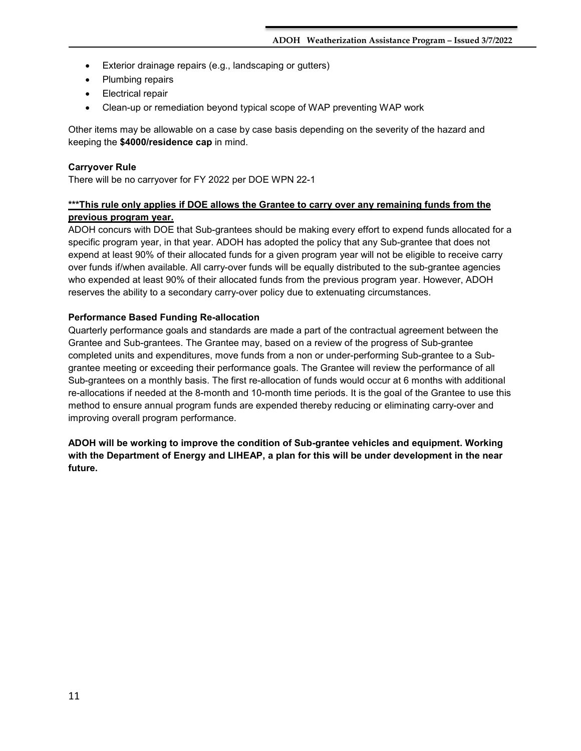- Exterior drainage repairs (e.g., landscaping or gutters)
- Plumbing repairs
- Electrical repair
- Clean-up or remediation beyond typical scope of WAP preventing WAP work

Other items may be allowable on a case by case basis depending on the severity of the hazard and keeping the **\$4000/residence cap** in mind.

## **Carryover Rule**

There will be no carryover for FY 2022 per DOE WPN 22-1

## **\*\*\*This rule only applies if DOE allows the Grantee to carry over any remaining funds from the previous program year.**

ADOH concurs with DOE that Sub-grantees should be making every effort to expend funds allocated for a specific program year, in that year. ADOH has adopted the policy that any Sub-grantee that does not expend at least 90% of their allocated funds for a given program year will not be eligible to receive carry over funds if/when available. All carry-over funds will be equally distributed to the sub-grantee agencies who expended at least 90% of their allocated funds from the previous program year. However, ADOH reserves the ability to a secondary carry-over policy due to extenuating circumstances.

## **Performance Based Funding Re-allocation**

Quarterly performance goals and standards are made a part of the contractual agreement between the Grantee and Sub-grantees. The Grantee may, based on a review of the progress of Sub-grantee completed units and expenditures, move funds from a non or under-performing Sub-grantee to a Subgrantee meeting or exceeding their performance goals. The Grantee will review the performance of all Sub-grantees on a monthly basis. The first re-allocation of funds would occur at 6 months with additional re-allocations if needed at the 8-month and 10-month time periods. It is the goal of the Grantee to use this method to ensure annual program funds are expended thereby reducing or eliminating carry-over and improving overall program performance.

**ADOH will be working to improve the condition of Sub-grantee vehicles and equipment. Working with the Department of Energy and LIHEAP, a plan for this will be under development in the near future.**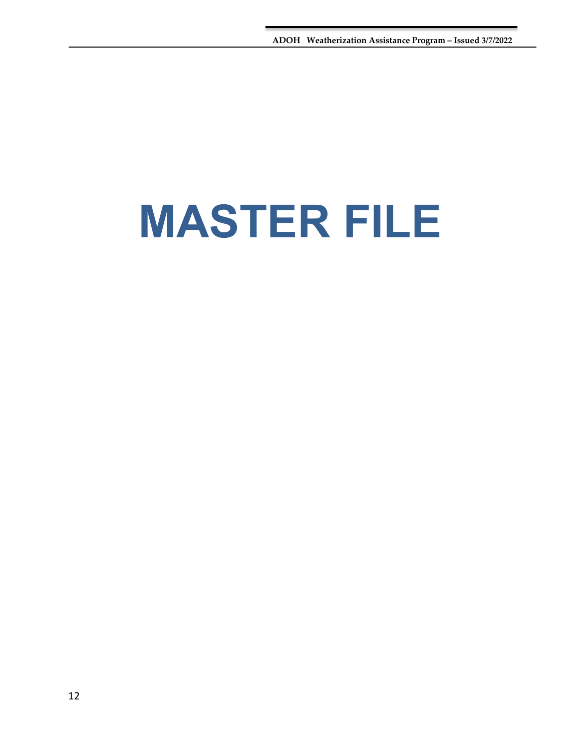## <span id="page-11-0"></span>**MASTER FILE**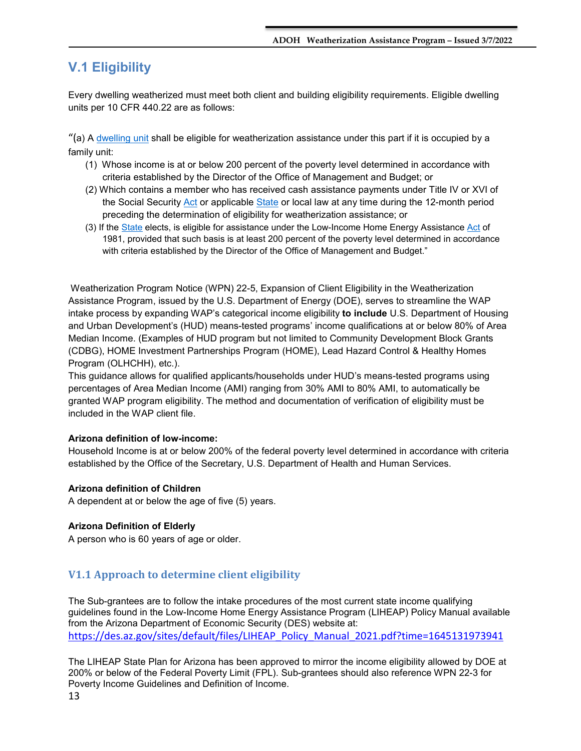## <span id="page-12-0"></span>**V.1 Eligibility**

Every dwelling weatherized must meet both client and building eligibility requirements. Eligible dwelling units per 10 CFR 440.22 are as follows:

"(a) A [dwelling unit](https://www.law.cornell.edu/definitions/index.php?width=840&height=800&iframe=true&def_id=bd9b72c447597f76182b47fa51d5ae71&term_occur=1&term_src=Title:10:Chapter:II:Subchapter:D:Part:440:440.22) shall be eligible for weatherization assistance under this part if it is occupied by a family unit:

- (1) Whose income is at or below 200 percent of the poverty level determined in accordance with criteria established by the Director of the Office of Management and Budget; or
- (2) Which contains a member who has received cash assistance payments under Title IV or XVI of the Social Security [Act](https://www.law.cornell.edu/definitions/index.php?width=840&height=800&iframe=true&def_id=fe6c6d9fa0c96c28c1f4c11bfeb84a18&term_occur=1&term_src=Title:10:Chapter:II:Subchapter:D:Part:440:440.22) or applicable [State](https://www.law.cornell.edu/definitions/index.php?width=840&height=800&iframe=true&def_id=a58e00cddb6f8cab64ddab80c5aeb072&term_occur=1&term_src=Title:10:Chapter:II:Subchapter:D:Part:440:440.22) or local law at any time during the 12-month period preceding the determination of eligibility for weatherization assistance; or
- (3) If the [State](https://www.law.cornell.edu/definitions/index.php?width=840&height=800&iframe=true&def_id=a58e00cddb6f8cab64ddab80c5aeb072&term_occur=2&term_src=Title:10:Chapter:II:Subchapter:D:Part:440:440.22) elects, is eligible for assistance under the Low-Income Home Energy Assistance [Act](https://www.law.cornell.edu/definitions/index.php?width=840&height=800&iframe=true&def_id=fe6c6d9fa0c96c28c1f4c11bfeb84a18&term_occur=2&term_src=Title:10:Chapter:II:Subchapter:D:Part:440:440.22) of 1981, provided that such basis is at least 200 percent of the poverty level determined in accordance with criteria established by the Director of the Office of Management and Budget."

Weatherization Program Notice (WPN) 22-5, Expansion of Client Eligibility in the Weatherization Assistance Program, issued by the U.S. Department of Energy (DOE), serves to streamline the WAP intake process by expanding WAP's categorical income eligibility **to include** U.S. Department of Housing and Urban Development's (HUD) means-tested programs' income qualifications at or below 80% of Area Median Income. (Examples of HUD program but not limited to Community Development Block Grants (CDBG), HOME Investment Partnerships Program (HOME), Lead Hazard Control & Healthy Homes Program (OLHCHH), etc.).

This guidance allows for qualified applicants/households under HUD's means-tested programs using percentages of Area Median Income (AMI) ranging from 30% AMI to 80% AMI, to automatically be granted WAP program eligibility. The method and documentation of verification of eligibility must be included in the WAP client file.

### **Arizona definition of low-income:**

Household Income is at or below 200% of the federal poverty level determined in accordance with criteria established by the Office of the Secretary, U.S. Department of Health and Human Services.

#### **Arizona definition of Children**

A dependent at or below the age of five (5) years.

#### **Arizona Definition of Elderly**

A person who is 60 years of age or older.

## <span id="page-12-1"></span>**V1.1 Approach to determine client eligibility**

The Sub-grantees are to follow the intake procedures of the most current state income qualifying guidelines found in the Low-Income Home Energy Assistance Program (LIHEAP) Policy Manual available from the Arizona Department of Economic Security (DES) website at: [https://des.az.gov/sites/default/files/LIHEAP\\_Policy\\_Manual\\_2021.pdf?time=1645131973941](https://des.az.gov/sites/default/files/LIHEAP_Policy_Manual_2021.pdf?time=1645131973941)

The LIHEAP State Plan for Arizona has been approved to mirror the income eligibility allowed by DOE at 200% or below of the Federal Poverty Limit (FPL). Sub-grantees should also reference WPN 22-3 for Poverty Income Guidelines and Definition of Income.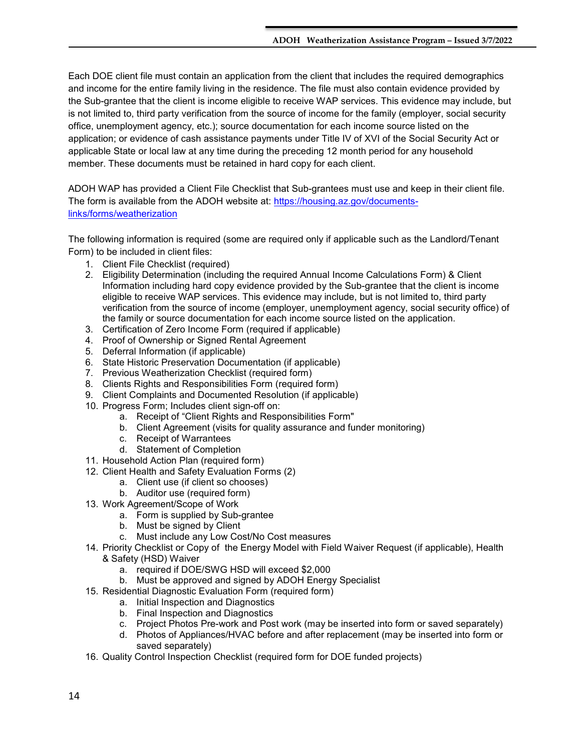Each DOE client file must contain an application from the client that includes the required demographics and income for the entire family living in the residence. The file must also contain evidence provided by the Sub-grantee that the client is income eligible to receive WAP services. This evidence may include, but is not limited to, third party verification from the source of income for the family (employer, social security office, unemployment agency, etc.); source documentation for each income source listed on the application; or evidence of cash assistance payments under Title IV of XVI of the Social Security Act or applicable State or local law at any time during the preceding 12 month period for any household member. These documents must be retained in hard copy for each client.

ADOH WAP has provided a Client File Checklist that Sub-grantees must use and keep in their client file. The form is available from the ADOH website at: [https://housing.az.gov/documents](https://housing.az.gov/documents-links/forms/weatherization)[links/forms/weatherization](https://housing.az.gov/documents-links/forms/weatherization)

The following information is required (some are required only if applicable such as the Landlord/Tenant Form) to be included in client files:

- 1. Client File Checklist (required)
- 2. Eligibility Determination (including the required Annual Income Calculations Form) & Client Information including hard copy evidence provided by the Sub-grantee that the client is income eligible to receive WAP services. This evidence may include, but is not limited to, third party verification from the source of income (employer, unemployment agency, social security office) of the family or source documentation for each income source listed on the application.
- 3. Certification of Zero Income Form (required if applicable)
- 4. Proof of Ownership or Signed Rental Agreement
- 5. Deferral Information (if applicable)
- 6. State Historic Preservation Documentation (if applicable)
- 7. Previous Weatherization Checklist (required form)
- 8. Clients Rights and Responsibilities Form (required form)
- 9. Client Complaints and Documented Resolution (if applicable)
- 10. Progress Form; Includes client sign-off on:
	- a. Receipt of "Client Rights and Responsibilities Form"
	- b. Client Agreement (visits for quality assurance and funder monitoring)
	- c. Receipt of Warrantees
	- d. Statement of Completion
- 11. Household Action Plan (required form)
- 12. Client Health and Safety Evaluation Forms (2)
	- a. Client use (if client so chooses)
	- b. Auditor use (required form)
- 13. Work Agreement/Scope of Work
	- a. Form is supplied by Sub-grantee
	- b. Must be signed by Client
	- c. Must include any Low Cost/No Cost measures
- 14. Priority Checklist or Copy of the Energy Model with Field Waiver Request (if applicable), Health & Safety (HSD) Waiver
	- a. required if DOE/SWG HSD will exceed \$2,000
	- b. Must be approved and signed by ADOH Energy Specialist
- 15. Residential Diagnostic Evaluation Form (required form)
	- a. Initial Inspection and Diagnostics
	- b. Final Inspection and Diagnostics
	- c. Project Photos Pre-work and Post work (may be inserted into form or saved separately)
	- d. Photos of Appliances/HVAC before and after replacement (may be inserted into form or saved separately)
- 16. Quality Control Inspection Checklist (required form for DOE funded projects)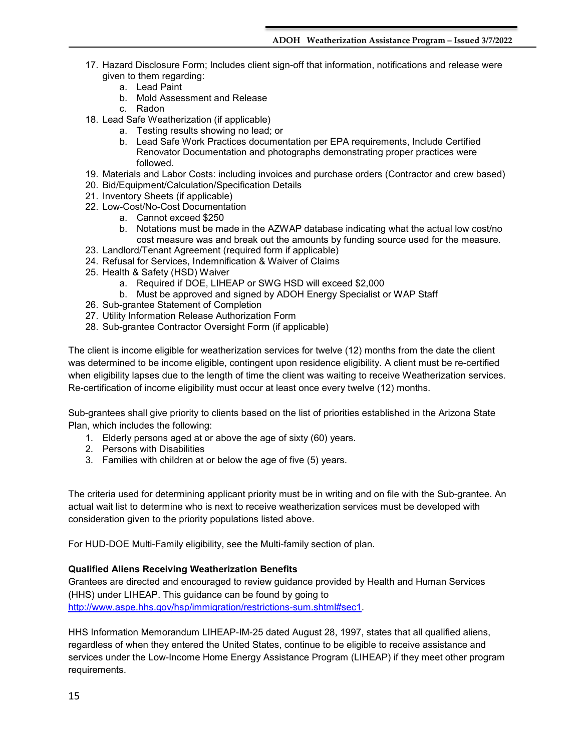- 17. Hazard Disclosure Form; Includes client sign-off that information, notifications and release were given to them regarding:
	- a. Lead Paint
	- b. Mold Assessment and Release
	- c. Radon
- 18. Lead Safe Weatherization (if applicable)
	- a. Testing results showing no lead; or
	- b. Lead Safe Work Practices documentation per EPA requirements, Include Certified Renovator Documentation and photographs demonstrating proper practices were followed.
- 19. Materials and Labor Costs: including invoices and purchase orders (Contractor and crew based)
- 20. Bid/Equipment/Calculation/Specification Details
- 21. Inventory Sheets (if applicable)
- 22. Low-Cost/No-Cost Documentation
	- a. Cannot exceed \$250
	- b. Notations must be made in the AZWAP database indicating what the actual low cost/no cost measure was and break out the amounts by funding source used for the measure.
- 23. Landlord/Tenant Agreement (required form if applicable)
- 24. Refusal for Services, Indemnification & Waiver of Claims
- 25. Health & Safety (HSD) Waiver
	- a. Required if DOE, LIHEAP or SWG HSD will exceed \$2,000
	- b. Must be approved and signed by ADOH Energy Specialist or WAP Staff
- 26. Sub-grantee Statement of Completion
- 27. Utility Information Release Authorization Form
- 28. Sub-grantee Contractor Oversight Form (if applicable)

The client is income eligible for weatherization services for twelve (12) months from the date the client was determined to be income eligible, contingent upon residence eligibility. A client must be re-certified when eligibility lapses due to the length of time the client was waiting to receive Weatherization services. Re-certification of income eligibility must occur at least once every twelve (12) months.

Sub-grantees shall give priority to clients based on the list of priorities established in the Arizona State Plan, which includes the following:

- 1. Elderly persons aged at or above the age of sixty (60) years.
- 2. Persons with Disabilities
- 3. Families with children at or below the age of five (5) years.

The criteria used for determining applicant priority must be in writing and on file with the Sub-grantee. An actual wait list to determine who is next to receive weatherization services must be developed with consideration given to the priority populations listed above.

For HUD-DOE Multi-Family eligibility, see the Multi-family section of plan.

## **Qualified Aliens Receiving Weatherization Benefits**

Grantees are directed and encouraged to review guidance provided by Health and Human Services (HHS) under LIHEAP. This guidance can be found by going to [http://www.aspe.hhs.gov/hsp/immigration/restrictions-sum.shtml#sec1.](http://www.aspe.hhs.gov/hsp/immigration/restrictions-sum.shtml#sec1)

HHS Information Memorandum LIHEAP-IM-25 dated August 28, 1997, states that all qualified aliens, regardless of when they entered the United States, continue to be eligible to receive assistance and services under the Low-Income Home Energy Assistance Program (LIHEAP) if they meet other program requirements.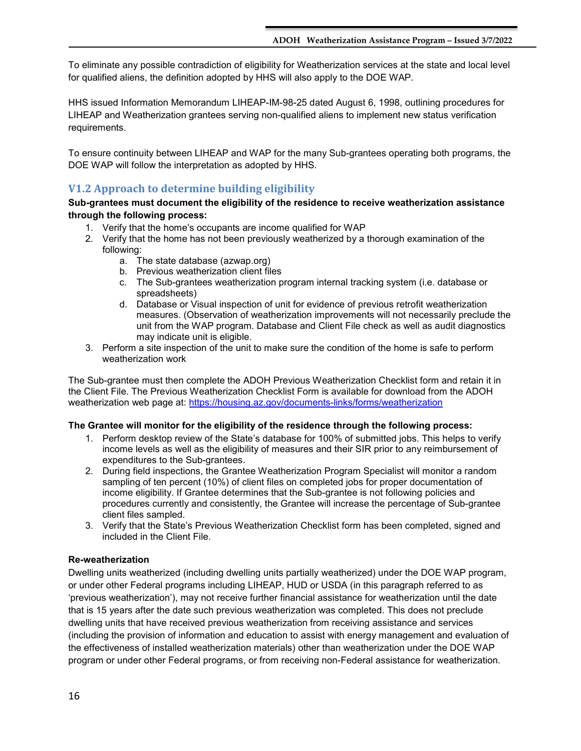To eliminate any possible contradiction of eligibility for Weatherization services at the state and local level for qualified aliens, the definition adopted by HHS will also apply to the DOE WAP.

HHS issued Information Memorandum LIHEAP-IM-98-25 dated August 6, 1998, outlining procedures for LIHEAP and Weatherization grantees serving non-qualified aliens to implement new status verification requirements.

To ensure continuity between LIHEAP and WAP for the many Sub-grantees operating both programs, the DOE WAP will follow the interpretation as adopted by HHS.

## <span id="page-15-0"></span>**V1.2 Approach to determine building eligibility**

## **Sub-grantees must document the eligibility of the residence to receive weatherization assistance through the following process:**

- 1. Verify that the home's occupants are income qualified for WAP
- 2. Verify that the home has not been previously weatherized by a thorough examination of the following:
	- a. The state database (azwap.org)
	- b. Previous weatherization client files
	- c. The Sub-grantees weatherization program internal tracking system (i.e. database or spreadsheets)
	- d. Database or Visual inspection of unit for evidence of previous retrofit weatherization measures. (Observation of weatherization improvements will not necessarily preclude the unit from the WAP program. Database and Client File check as well as audit diagnostics may indicate unit is eligible.
- 3. Perform a site inspection of the unit to make sure the condition of the home is safe to perform weatherization work

The Sub-grantee must then complete the ADOH Previous Weatherization Checklist form and retain it in the Client File. The Previous Weatherization Checklist Form is available for download from the ADOH weatherization web page at:<https://housing.az.gov/documents-links/forms/weatherization>

## **The Grantee will monitor for the eligibility of the residence through the following process:**

- 1. Perform desktop review of the State's database for 100% of submitted jobs. This helps to verify income levels as well as the eligibility of measures and their SIR prior to any reimbursement of expenditures to the Sub-grantees.
- 2. During field inspections, the Grantee Weatherization Program Specialist will monitor a random sampling of ten percent (10%) of client files on completed jobs for proper documentation of income eligibility. If Grantee determines that the Sub-grantee is not following policies and procedures currently and consistently, the Grantee will increase the percentage of Sub-grantee client files sampled.
- 3. Verify that the State's Previous Weatherization Checklist form has been completed, signed and included in the Client File.

## **Re-weatherization**

Dwelling units weatherized (including dwelling units partially weatherized) under the DOE WAP program, or under other Federal programs including LIHEAP, HUD or USDA (in this paragraph referred to as 'previous weatherization'), may not receive further financial assistance for weatherization until the date that is 15 years after the date such previous weatherization was completed. This does not preclude dwelling units that have received previous weatherization from receiving assistance and services (including the provision of information and education to assist with energy management and evaluation of the effectiveness of installed weatherization materials) other than weatherization under the DOE WAP program or under other Federal programs, or from receiving non-Federal assistance for weatherization.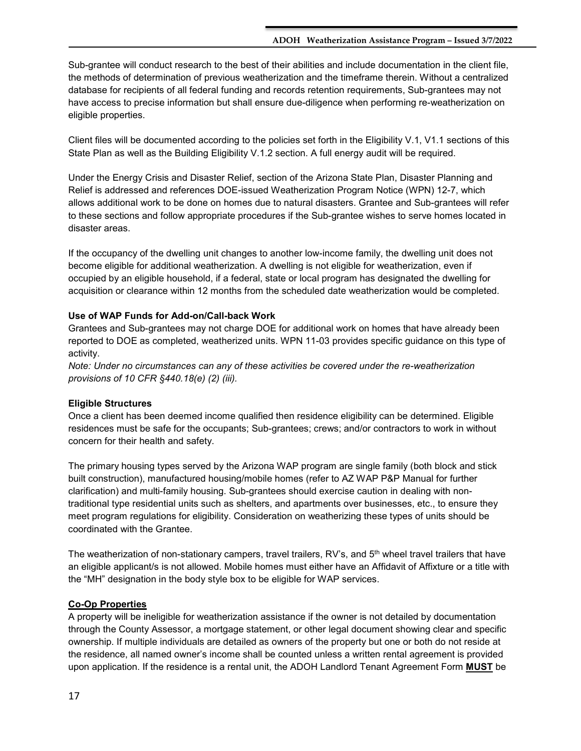Sub-grantee will conduct research to the best of their abilities and include documentation in the client file, the methods of determination of previous weatherization and the timeframe therein. Without a centralized database for recipients of all federal funding and records retention requirements, Sub-grantees may not have access to precise information but shall ensure due-diligence when performing re-weatherization on eligible properties.

Client files will be documented according to the policies set forth in the Eligibility V.1, V1.1 sections of this State Plan as well as the Building Eligibility V.1.2 section. A full energy audit will be required.

Under the Energy Crisis and Disaster Relief, section of the Arizona State Plan, Disaster Planning and Relief is addressed and references DOE-issued Weatherization Program Notice (WPN) 12-7, which allows additional work to be done on homes due to natural disasters. Grantee and Sub-grantees will refer to these sections and follow appropriate procedures if the Sub-grantee wishes to serve homes located in disaster areas.

If the occupancy of the dwelling unit changes to another low-income family, the dwelling unit does not become eligible for additional weatherization. A dwelling is not eligible for weatherization, even if occupied by an eligible household, if a federal, state or local program has designated the dwelling for acquisition or clearance within 12 months from the scheduled date weatherization would be completed.

## **Use of WAP Funds for Add-on/Call-back Work**

Grantees and Sub-grantees may not charge DOE for additional work on homes that have already been reported to DOE as completed, weatherized units. WPN 11-03 provides specific guidance on this type of activity.

*Note: Under no circumstances can any of these activities be covered under the re-weatherization provisions of 10 CFR §440.18(e) (2) (iii).* 

## **Eligible Structures**

Once a client has been deemed income qualified then residence eligibility can be determined. Eligible residences must be safe for the occupants; Sub-grantees; crews; and/or contractors to work in without concern for their health and safety.

The primary housing types served by the Arizona WAP program are single family (both block and stick built construction), manufactured housing/mobile homes (refer to AZ WAP P&P Manual for further clarification) and multi-family housing. Sub-grantees should exercise caution in dealing with nontraditional type residential units such as shelters, and apartments over businesses, etc., to ensure they meet program regulations for eligibility. Consideration on weatherizing these types of units should be coordinated with the Grantee.

The weatherization of non-stationary campers, travel trailers, RV's, and 5<sup>th</sup> wheel travel trailers that have an eligible applicant/s is not allowed. Mobile homes must either have an Affidavit of Affixture or a title with the "MH" designation in the body style box to be eligible for WAP services.

## **Co-Op Properties**

A property will be ineligible for weatherization assistance if the owner is not detailed by documentation through the County Assessor, a mortgage statement, or other legal document showing clear and specific ownership. If multiple individuals are detailed as owners of the property but one or both do not reside at the residence, all named owner's income shall be counted unless a written rental agreement is provided upon application. If the residence is a rental unit, the ADOH Landlord Tenant Agreement Form **MUST** be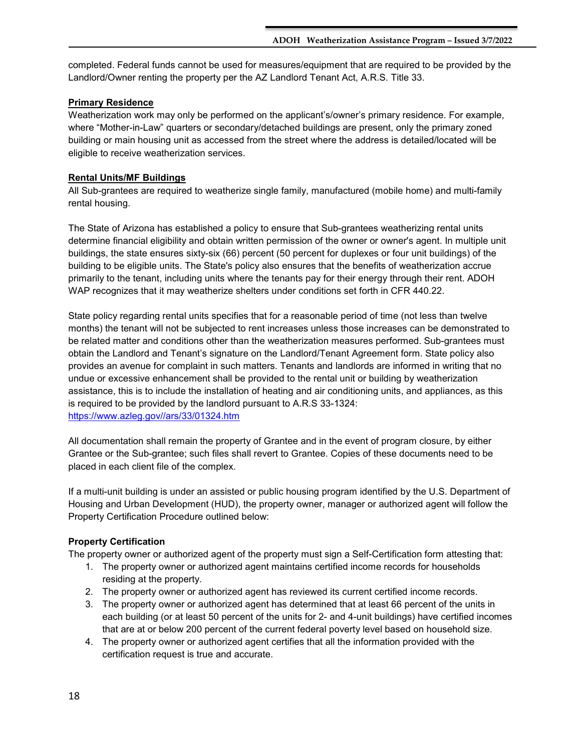completed. Federal funds cannot be used for measures/equipment that are required to be provided by the Landlord/Owner renting the property per the AZ Landlord Tenant Act, A.R.S. Title 33.

## **Primary Residence**

Weatherization work may only be performed on the applicant's/owner's primary residence. For example, where "Mother-in-Law" quarters or secondary/detached buildings are present, only the primary zoned building or main housing unit as accessed from the street where the address is detailed/located will be eligible to receive weatherization services.

## **Rental Units/MF Buildings**

All Sub-grantees are required to weatherize single family, manufactured (mobile home) and multi-family rental housing.

The State of Arizona has established a policy to ensure that Sub-grantees weatherizing rental units determine financial eligibility and obtain written permission of the owner or owner's agent. In multiple unit buildings, the state ensures sixty-six (66) percent (50 percent for duplexes or four unit buildings) of the building to be eligible units. The State's policy also ensures that the benefits of weatherization accrue primarily to the tenant, including units where the tenants pay for their energy through their rent. ADOH WAP recognizes that it may weatherize shelters under conditions set forth in CFR 440.22.

State policy regarding rental units specifies that for a reasonable period of time (not less than twelve months) the tenant will not be subjected to rent increases unless those increases can be demonstrated to be related matter and conditions other than the weatherization measures performed. Sub-grantees must obtain the Landlord and Tenant's signature on the Landlord/Tenant Agreement form. State policy also provides an avenue for complaint in such matters. Tenants and landlords are informed in writing that no undue or excessive enhancement shall be provided to the rental unit or building by weatherization assistance, this is to include the installation of heating and air conditioning units, and appliances, as this is required to be provided by the landlord pursuant to A.R.S 33-1324: [https://www.azleg.gov//ars/33/01324.htm](https://www.azleg.gov/ars/33/01324.htm)

All documentation shall remain the property of Grantee and in the event of program closure, by either Grantee or the Sub-grantee; such files shall revert to Grantee. Copies of these documents need to be placed in each client file of the complex.

If a multi-unit building is under an assisted or public housing program identified by the U.S. Department of Housing and Urban Development (HUD), the property owner, manager or authorized agent will follow the Property Certification Procedure outlined below:

## **Property Certification**

The property owner or authorized agent of the property must sign a Self-Certification form attesting that:

- 1. The property owner or authorized agent maintains certified income records for households residing at the property.
- 2. The property owner or authorized agent has reviewed its current certified income records.
- 3. The property owner or authorized agent has determined that at least 66 percent of the units in each building (or at least 50 percent of the units for 2- and 4-unit buildings) have certified incomes that are at or below 200 percent of the current federal poverty level based on household size.
- 4. The property owner or authorized agent certifies that all the information provided with the certification request is true and accurate.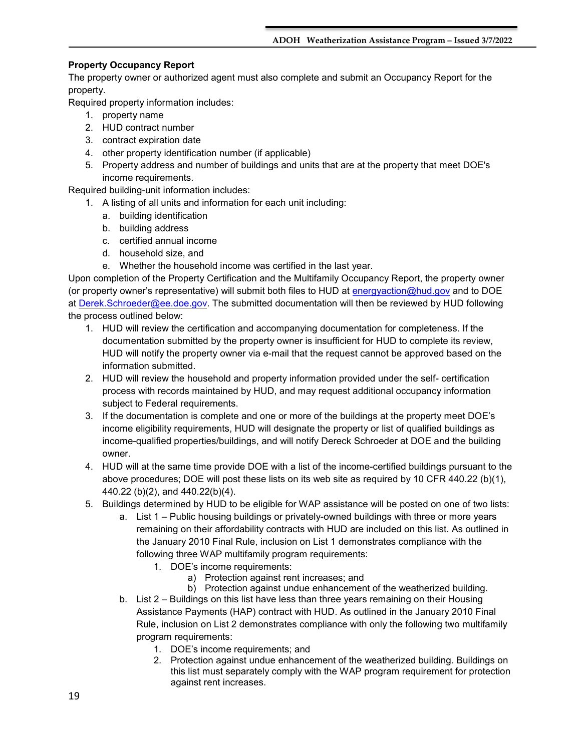## **Property Occupancy Report**

The property owner or authorized agent must also complete and submit an Occupancy Report for the property.

Required property information includes:

- 1. property name
- 2. HUD contract number
- 3. contract expiration date
- 4. other property identification number (if applicable)
- 5. Property address and number of buildings and units that are at the property that meet DOE's income requirements.

Required building-unit information includes:

- 1. A listing of all units and information for each unit including:
	- a. building identification
	- b. building address
	- c. certified annual income
	- d. household size, and
	- e. Whether the household income was certified in the last year.

Upon completion of the Property Certification and the Multifamily Occupancy Report, the property owner (or property owner's representative) will submit both files to HUD at [energyaction@hud.gov](mailto:energyaction@hud.gov) and to DOE at [Derek.Schroeder@ee.doe.gov.](mailto:Derek.Schroeder@ee.doe.gov) The submitted documentation will then be reviewed by HUD following the process outlined below:

1. HUD will review the certification and accompanying documentation for completeness. If the documentation submitted by the property owner is insufficient for HUD to complete its review, HUD will notify the property owner via e-mail that the request cannot be approved based on the information submitted.

- 2. HUD will review the household and property information provided under the self- certification process with records maintained by HUD, and may request additional occupancy information subject to Federal requirements.
- 3. If the documentation is complete and one or more of the buildings at the property meet DOE's income eligibility requirements, HUD will designate the property or list of qualified buildings as income-qualified properties/buildings, and will notify Dereck Schroeder at DOE and the building owner.
- 4. HUD will at the same time provide DOE with a list of the income-certified buildings pursuant to the above procedures; DOE will post these lists on its web site as required by 10 CFR 440.22 (b)(1), 440.22 (b)(2), and 440.22(b)(4).
- 5. Buildings determined by HUD to be eligible for WAP assistance will be posted on one of two lists:
	- a. List 1 Public housing buildings or privately-owned buildings with three or more years remaining on their affordability contracts with HUD are included on this list. As outlined in the January 2010 Final Rule, inclusion on List 1 demonstrates compliance with the following three WAP multifamily program requirements:
		- 1. DOE's income requirements:
			- a) Protection against rent increases; and
			- b) Protection against undue enhancement of the weatherized building.
	- b. List 2 Buildings on this list have less than three years remaining on their Housing Assistance Payments (HAP) contract with HUD. As outlined in the January 2010 Final Rule, inclusion on List 2 demonstrates compliance with only the following two multifamily program requirements:
		- 1. DOE's income requirements; and
		- 2. Protection against undue enhancement of the weatherized building. Buildings on this list must separately comply with the WAP program requirement for protection against rent increases.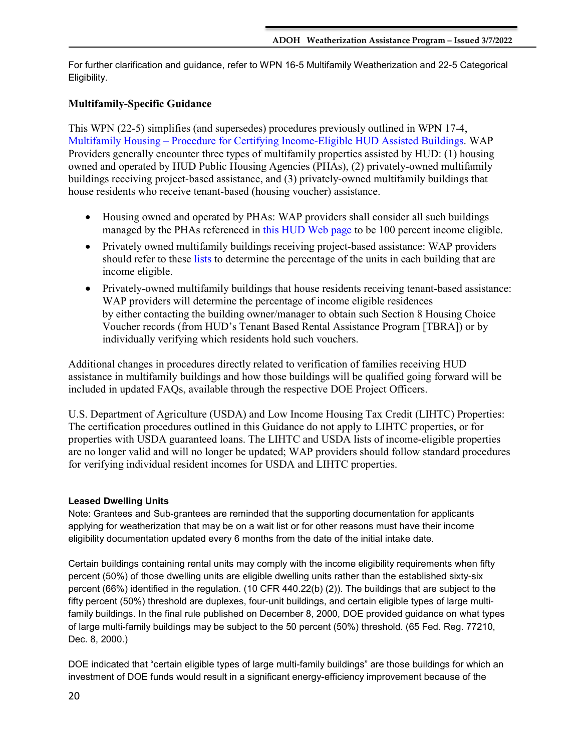For further clarification and guidance, refer to WPN 16-5 Multifamily Weatherization and 22-5 Categorical Eligibility.

## **Multifamily-Specific Guidance**

This WPN (22-5) simplifies (and supersedes) procedures previously outlined in WPN 17-4, Multifamily Housing – Procedure for Certifying Income-Eligible HUD Assisted Buildings. WAP Providers generally encounter three types of multifamily properties assisted by HUD: (1) housing owned and operated by HUD Public Housing Agencies (PHAs), (2) privately-owned multifamily buildings receiving project-based assistance, and (3) privately-owned multifamily buildings that house residents who receive tenant-based (housing voucher) assistance.

- Housing owned and operated by PHAs: WAP providers shall consider all such buildings managed by the PHAs referenced in this HUD Web page to be 100 percent income eligible.
- Privately owned multifamily buildings receiving project-based assistance: WAP providers should refer to these lists to determine the percentage of the units in each building that are income eligible.
- Privately-owned multifamily buildings that house residents receiving tenant-based assistance: WAP providers will determine the percentage of income eligible residences by either contacting the building owner/manager to obtain such Section 8 Housing Choice Voucher records (from HUD's Tenant Based Rental Assistance Program [TBRA]) or by individually verifying which residents hold such vouchers.

Additional changes in procedures directly related to verification of families receiving HUD assistance in multifamily buildings and how those buildings will be qualified going forward will be included in updated FAQs, available through the respective DOE Project Officers.

U.S. Department of Agriculture (USDA) and Low Income Housing Tax Credit (LIHTC) Properties: The certification procedures outlined in this Guidance do not apply to LIHTC properties, or for properties with USDA guaranteed loans. The LIHTC and USDA lists of income-eligible properties are no longer valid and will no longer be updated; WAP providers should follow standard procedures for verifying individual resident incomes for USDA and LIHTC properties.

## **Leased Dwelling Units**

Note: Grantees and Sub-grantees are reminded that the supporting documentation for applicants applying for weatherization that may be on a wait list or for other reasons must have their income eligibility documentation updated every 6 months from the date of the initial intake date.

Certain buildings containing rental units may comply with the income eligibility requirements when fifty percent (50%) of those dwelling units are eligible dwelling units rather than the established sixty-six percent (66%) identified in the regulation. (10 CFR 440.22(b) (2)). The buildings that are subject to the fifty percent (50%) threshold are duplexes, four-unit buildings, and certain eligible types of large multifamily buildings. In the final rule published on December 8, 2000, DOE provided guidance on what types of large multi-family buildings may be subject to the 50 percent (50%) threshold. (65 Fed. Reg. 77210, Dec. 8, 2000.)

DOE indicated that "certain eligible types of large multi-family buildings" are those buildings for which an investment of DOE funds would result in a significant energy-efficiency improvement because of the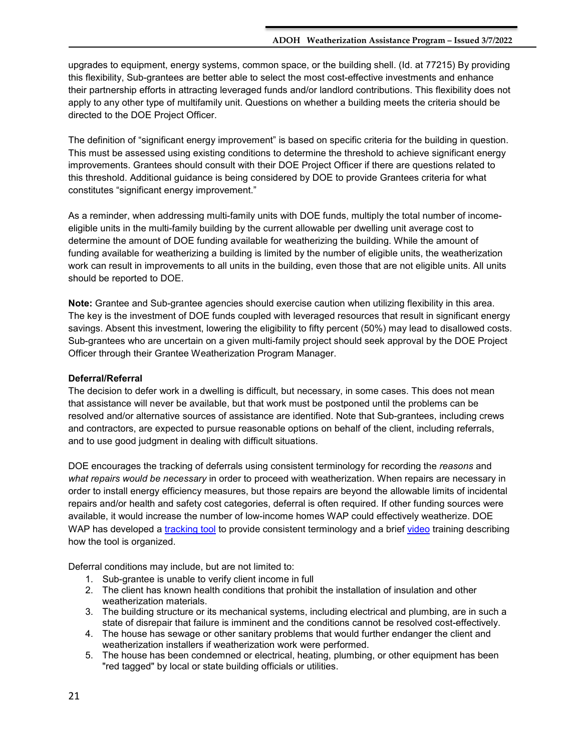upgrades to equipment, energy systems, common space, or the building shell. (Id. at 77215) By providing this flexibility, Sub-grantees are better able to select the most cost-effective investments and enhance their partnership efforts in attracting leveraged funds and/or landlord contributions. This flexibility does not apply to any other type of multifamily unit. Questions on whether a building meets the criteria should be directed to the DOE Project Officer.

The definition of "significant energy improvement" is based on specific criteria for the building in question. This must be assessed using existing conditions to determine the threshold to achieve significant energy improvements. Grantees should consult with their DOE Project Officer if there are questions related to this threshold. Additional guidance is being considered by DOE to provide Grantees criteria for what constitutes "significant energy improvement."

As a reminder, when addressing multi-family units with DOE funds, multiply the total number of incomeeligible units in the multi-family building by the current allowable per dwelling unit average cost to determine the amount of DOE funding available for weatherizing the building. While the amount of funding available for weatherizing a building is limited by the number of eligible units, the weatherization work can result in improvements to all units in the building, even those that are not eligible units. All units should be reported to DOE.

**Note:** Grantee and Sub-grantee agencies should exercise caution when utilizing flexibility in this area. The key is the investment of DOE funds coupled with leveraged resources that result in significant energy savings. Absent this investment, lowering the eligibility to fifty percent (50%) may lead to disallowed costs. Sub-grantees who are uncertain on a given multi-family project should seek approval by the DOE Project Officer through their Grantee Weatherization Program Manager.

### **Deferral/Referral**

The decision to defer work in a dwelling is difficult, but necessary, in some cases. This does not mean that assistance will never be available, but that work must be postponed until the problems can be resolved and/or alternative sources of assistance are identified. Note that Sub-grantees, including crews and contractors, are expected to pursue reasonable options on behalf of the client, including referrals, and to use good judgment in dealing with difficult situations.

DOE encourages the tracking of deferrals using consistent terminology for recording the *reasons* and *what repairs would be necessary* in order to proceed with weatherization. When repairs are necessary in order to install energy efficiency measures, but those repairs are beyond the allowable limits of incidental repairs and/or health and safety cost categories, deferral is often required. If other funding sources were available, it would increase the number of low-income homes WAP could effectively weatherize. DOE WAP has developed a [tracking tool](https://www.energy.gov/eere/wap/downloads/deferrals-classification-guide-and-tracker-template) to provide consistent terminology and a brief [video](https://www.youtube.com/watch?v=3Y16-F2mr1s) training describing how the tool is organized.

Deferral conditions may include, but are not limited to:

- 1. Sub-grantee is unable to verify client income in full
- 2. The client has known health conditions that prohibit the installation of insulation and other weatherization materials.
- 3. The building structure or its mechanical systems, including electrical and plumbing, are in such a state of disrepair that failure is imminent and the conditions cannot be resolved cost-effectively.
- 4. The house has sewage or other sanitary problems that would further endanger the client and weatherization installers if weatherization work were performed.
- 5. The house has been condemned or electrical, heating, plumbing, or other equipment has been "red tagged" by local or state building officials or utilities.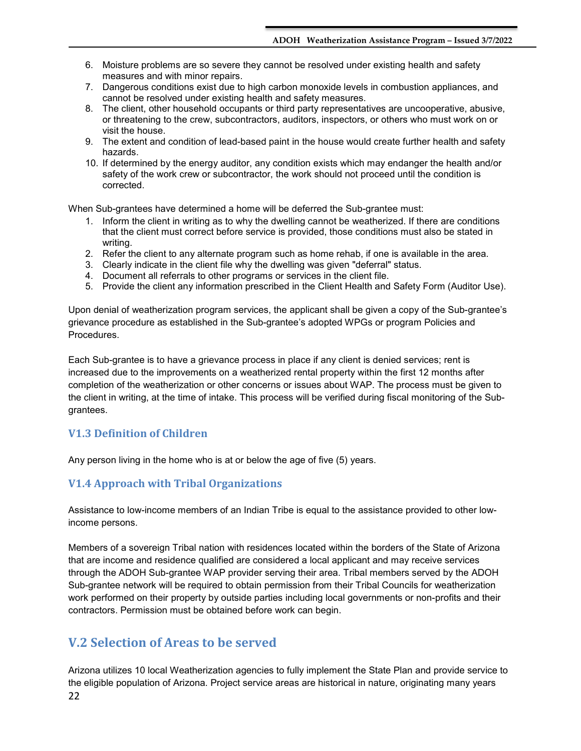- 6. Moisture problems are so severe they cannot be resolved under existing health and safety measures and with minor repairs.
- 7. Dangerous conditions exist due to high carbon monoxide levels in combustion appliances, and cannot be resolved under existing health and safety measures.
- 8. The client, other household occupants or third party representatives are uncooperative, abusive, or threatening to the crew, subcontractors, auditors, inspectors, or others who must work on or visit the house.
- 9. The extent and condition of lead-based paint in the house would create further health and safety hazards.
- 10. If determined by the energy auditor, any condition exists which may endanger the health and/or safety of the work crew or subcontractor, the work should not proceed until the condition is corrected.

When Sub-grantees have determined a home will be deferred the Sub-grantee must:

- 1. Inform the client in writing as to why the dwelling cannot be weatherized. If there are conditions that the client must correct before service is provided, those conditions must also be stated in writing.
- 2. Refer the client to any alternate program such as home rehab, if one is available in the area.
- 3. Clearly indicate in the client file why the dwelling was given "deferral" status.
- 4. Document all referrals to other programs or services in the client file.
- 5. Provide the client any information prescribed in the Client Health and Safety Form (Auditor Use).

Upon denial of weatherization program services, the applicant shall be given a copy of the Sub-grantee's grievance procedure as established in the Sub-grantee's adopted WPGs or program Policies and Procedures.

Each Sub-grantee is to have a grievance process in place if any client is denied services; rent is increased due to the improvements on a weatherized rental property within the first 12 months after completion of the weatherization or other concerns or issues about WAP. The process must be given to the client in writing, at the time of intake. This process will be verified during fiscal monitoring of the Subgrantees.

## <span id="page-21-0"></span>**V1.3 Definition of Children**

Any person living in the home who is at or below the age of five (5) years.

## <span id="page-21-1"></span>**V1.4 Approach with Tribal Organizations**

Assistance to low-income members of an Indian Tribe is equal to the assistance provided to other lowincome persons.

Members of a sovereign Tribal nation with residences located within the borders of the State of Arizona that are income and residence qualified are considered a local applicant and may receive services through the ADOH Sub-grantee WAP provider serving their area. Tribal members served by the ADOH Sub-grantee network will be required to obtain permission from their Tribal Councils for weatherization work performed on their property by outside parties including local governments or non-profits and their contractors. Permission must be obtained before work can begin.

## <span id="page-21-2"></span>**V.2 Selection of Areas to be served**

22 Arizona utilizes 10 local Weatherization agencies to fully implement the State Plan and provide service to the eligible population of Arizona. Project service areas are historical in nature, originating many years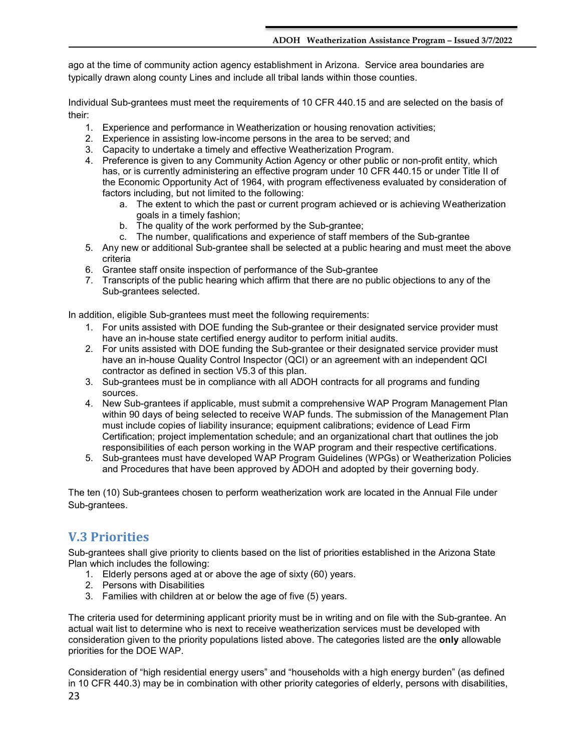ago at the time of community action agency establishment in Arizona. Service area boundaries are typically drawn along county Lines and include all tribal lands within those counties.

Individual Sub-grantees must meet the requirements of 10 CFR 440.15 and are selected on the basis of their:

- 1. Experience and performance in Weatherization or housing renovation activities;
- 2. Experience in assisting low-income persons in the area to be served; and
- 3. Capacity to undertake a timely and effective Weatherization Program.
- 4. Preference is given to any Community Action Agency or other public or non-profit entity, which has, or is currently administering an effective program under 10 CFR 440.15 or under Title II of the Economic Opportunity Act of 1964, with program effectiveness evaluated by consideration of factors including, but not limited to the following:
	- a. The extent to which the past or current program achieved or is achieving Weatherization goals in a timely fashion;
	- b. The quality of the work performed by the Sub-grantee;
	- c. The number, qualifications and experience of staff members of the Sub-grantee
- 5. Any new or additional Sub-grantee shall be selected at a public hearing and must meet the above criteria
- 6. Grantee staff onsite inspection of performance of the Sub-grantee
- 7. Transcripts of the public hearing which affirm that there are no public objections to any of the Sub-grantees selected.

In addition, eligible Sub-grantees must meet the following requirements:

- 1. For units assisted with DOE funding the Sub-grantee or their designated service provider must have an in-house state certified energy auditor to perform initial audits.
- 2. For units assisted with DOE funding the Sub-grantee or their designated service provider must have an in-house Quality Control Inspector (QCI) or an agreement with an independent QCI contractor as defined in section V5.3 of this plan.
- 3. Sub-grantees must be in compliance with all ADOH contracts for all programs and funding sources.
- 4. New Sub-grantees if applicable, must submit a comprehensive WAP Program Management Plan within 90 days of being selected to receive WAP funds. The submission of the Management Plan must include copies of liability insurance; equipment calibrations; evidence of Lead Firm Certification; project implementation schedule; and an organizational chart that outlines the job responsibilities of each person working in the WAP program and their respective certifications.
- 5. Sub-grantees must have developed WAP Program Guidelines (WPGs) or Weatherization Policies and Procedures that have been approved by ADOH and adopted by their governing body.

The ten (10) Sub-grantees chosen to perform weatherization work are located in the Annual File under Sub-grantees.

## <span id="page-22-0"></span>**V.3 Priorities**

Sub-grantees shall give priority to clients based on the list of priorities established in the Arizona State Plan which includes the following:

- 1. Elderly persons aged at or above the age of sixty (60) years.
- 2. Persons with Disabilities
- 3. Families with children at or below the age of five (5) years.

The criteria used for determining applicant priority must be in writing and on file with the Sub-grantee. An actual wait list to determine who is next to receive weatherization services must be developed with consideration given to the priority populations listed above. The categories listed are the **only** allowable priorities for the DOE WAP.

23 Consideration of "high residential energy users" and "households with a high energy burden" (as defined in 10 CFR 440.3) may be in combination with other priority categories of elderly, persons with disabilities,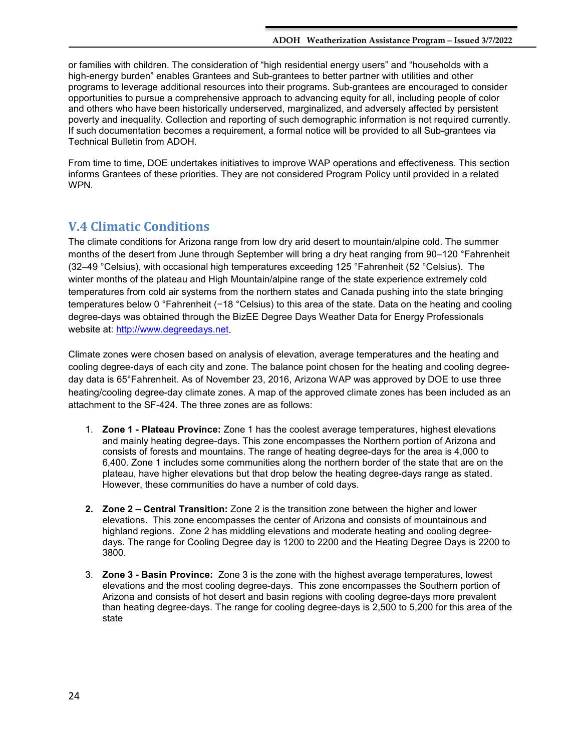or families with children. The consideration of "high residential energy users" and "households with a high-energy burden" enables Grantees and Sub-grantees to better partner with utilities and other programs to leverage additional resources into their programs. Sub-grantees are encouraged to consider opportunities to pursue a comprehensive approach to advancing equity for all, including people of color and others who have been historically underserved, marginalized, and adversely affected by persistent poverty and inequality. Collection and reporting of such demographic information is not required currently. If such documentation becomes a requirement, a formal notice will be provided to all Sub-grantees via Technical Bulletin from ADOH.

From time to time, DOE undertakes initiatives to improve WAP operations and effectiveness. This section informs Grantees of these priorities. They are not considered Program Policy until provided in a related WPN.

## <span id="page-23-0"></span>**V.4 Climatic Conditions**

The climate conditions for Arizona range from low dry arid desert to mountain/alpine cold. The summer months of the desert from June through September will bring a dry heat ranging from 90–120 °Fahrenheit (32–49 °Celsius), with occasional high temperatures exceeding 125 °Fahrenheit (52 °Celsius). The winter months of the plateau and High Mountain/alpine range of the state experience extremely cold temperatures from cold air systems from the northern states and Canada pushing into the state bringing temperatures below 0 °Fahrenheit (−18 °Celsius) to this area of the state. Data on the heating and cooling degree-days was obtained through the BizEE Degree Days Weather Data for Energy Professionals website at: [http://www.degreedays.net.](http://www.degreedays.net/)

Climate zones were chosen based on analysis of elevation, average temperatures and the heating and cooling degree-days of each city and zone. The balance point chosen for the heating and cooling degreeday data is 65°Fahrenheit. As of November 23, 2016, Arizona WAP was approved by DOE to use three heating/cooling degree-day climate zones. A map of the approved climate zones has been included as an attachment to the SF-424. The three zones are as follows:

- 1. **Zone 1 Plateau Province:** Zone 1 has the coolest average temperatures, highest elevations and mainly heating degree-days. This zone encompasses the Northern portion of Arizona and consists of forests and mountains. The range of heating degree-days for the area is 4,000 to 6,400. Zone 1 includes some communities along the northern border of the state that are on the plateau, have higher elevations but that drop below the heating degree-days range as stated. However, these communities do have a number of cold days.
- **2. Zone 2 Central Transition:** Zone 2 is the transition zone between the higher and lower elevations. This zone encompasses the center of Arizona and consists of mountainous and highland regions. Zone 2 has middling elevations and moderate heating and cooling degreedays. The range for Cooling Degree day is 1200 to 2200 and the Heating Degree Days is 2200 to 3800.
- 3. **Zone 3 Basin Province:** Zone 3 is the zone with the highest average temperatures, lowest elevations and the most cooling degree-days. This zone encompasses the Southern portion of Arizona and consists of hot desert and basin regions with cooling degree-days more prevalent than heating degree-days. The range for cooling degree-days is 2,500 to 5,200 for this area of the state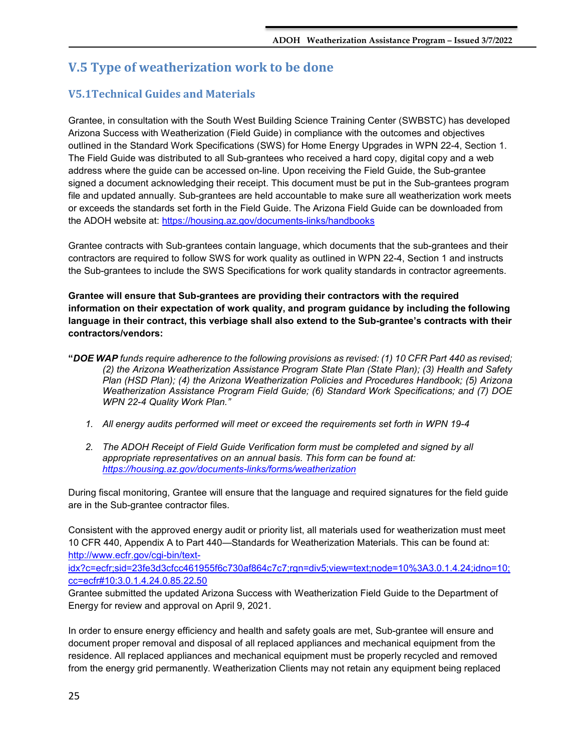## <span id="page-24-0"></span>**V.5 Type of weatherization work to be done**

## <span id="page-24-1"></span>**V5.1Technical Guides and Materials**

Grantee, in consultation with the South West Building Science Training Center (SWBSTC) has developed Arizona Success with Weatherization (Field Guide) in compliance with the outcomes and objectives outlined in the Standard Work Specifications (SWS) for Home Energy Upgrades in WPN 22-4, Section 1. The Field Guide was distributed to all Sub-grantees who received a hard copy, digital copy and a web address where the guide can be accessed on-line. Upon receiving the Field Guide, the Sub-grantee signed a document acknowledging their receipt. This document must be put in the Sub-grantees program file and updated annually. Sub-grantees are held accountable to make sure all weatherization work meets or exceeds the standards set forth in the Field Guide. The Arizona Field Guide can be downloaded from the ADOH website at:<https://housing.az.gov/documents-links/handbooks>

Grantee contracts with Sub-grantees contain language, which documents that the sub-grantees and their contractors are required to follow SWS for work quality as outlined in WPN 22-4, Section 1 and instructs the Sub-grantees to include the SWS Specifications for work quality standards in contractor agreements.

**Grantee will ensure that Sub-grantees are providing their contractors with the required information on their expectation of work quality, and program guidance by including the following language in their contract, this verbiage shall also extend to the Sub-grantee's contracts with their contractors/vendors:** 

- **"***DOE WAP funds require adherence to the following provisions as revised: (1) 10 CFR Part 440 as revised; (2) the Arizona Weatherization Assistance Program State Plan (State Plan); (3) Health and Safety Plan (HSD Plan); (4) the Arizona Weatherization Policies and Procedures Handbook; (5) Arizona Weatherization Assistance Program Field Guide; (6) Standard Work Specifications; and (7) DOE WPN 22-4 Quality Work Plan."*
	- *1. All energy audits performed will meet or exceed the requirements set forth in WPN 19-4*
	- *2. The ADOH Receipt of Field Guide Verification form must be completed and signed by all appropriate representatives on an annual basis. This form can be found at: <https://housing.az.gov/documents-links/forms/weatherization>*

During fiscal monitoring, Grantee will ensure that the language and required signatures for the field guide are in the Sub-grantee contractor files.

Consistent with the approved energy audit or priority list, all materials used for weatherization must meet 10 CFR 440, Appendix A to Part 440—Standards for Weatherization Materials. This can be found at: [http://www.ecfr.gov/cgi-bin/text-](http://www.ecfr.gov/cgi-bin/text-idx?c=ecfr;sid=23fe3d3cfcc461955f6c730af864c7c7;rgn=div5;view=text;node=10%3A3.0.1.4.24;idno=10;cc=ecfr#10:3.0.1.4.24.0.85.22.50)

[idx?c=ecfr;sid=23fe3d3cfcc461955f6c730af864c7c7;rgn=div5;view=text;node=10%3A3.0.1.4.24;idno=10;](http://www.ecfr.gov/cgi-bin/text-idx?c=ecfr;sid=23fe3d3cfcc461955f6c730af864c7c7;rgn=div5;view=text;node=10%3A3.0.1.4.24;idno=10;cc=ecfr#10:3.0.1.4.24.0.85.22.50) [cc=ecfr#10:3.0.1.4.24.0.85.22.50](http://www.ecfr.gov/cgi-bin/text-idx?c=ecfr;sid=23fe3d3cfcc461955f6c730af864c7c7;rgn=div5;view=text;node=10%3A3.0.1.4.24;idno=10;cc=ecfr#10:3.0.1.4.24.0.85.22.50)

Grantee submitted the updated Arizona Success with Weatherization Field Guide to the Department of Energy for review and approval on April 9, 2021.

In order to ensure energy efficiency and health and safety goals are met, Sub-grantee will ensure and document proper removal and disposal of all replaced appliances and mechanical equipment from the residence. All replaced appliances and mechanical equipment must be properly recycled and removed from the energy grid permanently. Weatherization Clients may not retain any equipment being replaced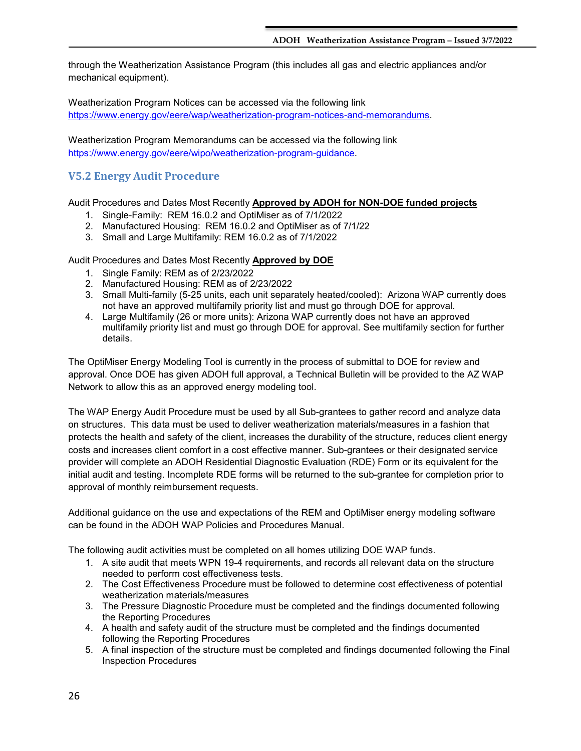through the Weatherization Assistance Program (this includes all gas and electric appliances and/or mechanical equipment).

Weatherization Program Notices can be accessed via the following link [https://www.energy.gov/eere/wap/weatherization-program-notices-and-memorandums.](https://www.energy.gov/eere/wap/weatherization-program-notices-and-memorandums)

Weatherization Program Memorandums can be accessed via the following link https://www.energy.gov/eere/wipo/weatherization-program-guidance.

## <span id="page-25-0"></span>**V5.2 Energy Audit Procedure**

Audit Procedures and Dates Most Recently **Approved by ADOH for NON-DOE funded projects**

- 1. Single-Family: REM 16.0.2 and OptiMiser as of 7/1/2022
- 2. Manufactured Housing: REM 16.0.2 and OptiMiser as of 7/1/22
- 3. Small and Large Multifamily: REM 16.0.2 as of 7/1/2022

Audit Procedures and Dates Most Recently **Approved by DOE**

- 1. Single Family: REM as of 2/23/2022
- 2. Manufactured Housing: REM as of 2/23/2022
- 3. Small Multi-family (5-25 units, each unit separately heated/cooled): Arizona WAP currently does not have an approved multifamily priority list and must go through DOE for approval.
- 4. Large Multifamily (26 or more units): Arizona WAP currently does not have an approved multifamily priority list and must go through DOE for approval. See multifamily section for further details.

The OptiMiser Energy Modeling Tool is currently in the process of submittal to DOE for review and approval. Once DOE has given ADOH full approval, a Technical Bulletin will be provided to the AZ WAP Network to allow this as an approved energy modeling tool.

The WAP Energy Audit Procedure must be used by all Sub-grantees to gather record and analyze data on structures. This data must be used to deliver weatherization materials/measures in a fashion that protects the health and safety of the client, increases the durability of the structure, reduces client energy costs and increases client comfort in a cost effective manner. Sub-grantees or their designated service provider will complete an ADOH Residential Diagnostic Evaluation (RDE) Form or its equivalent for the initial audit and testing. Incomplete RDE forms will be returned to the sub-grantee for completion prior to approval of monthly reimbursement requests.

Additional guidance on the use and expectations of the REM and OptiMiser energy modeling software can be found in the ADOH WAP Policies and Procedures Manual.

The following audit activities must be completed on all homes utilizing DOE WAP funds.

- 1. A site audit that meets WPN 19-4 requirements, and records all relevant data on the structure needed to perform cost effectiveness tests.
- 2. The Cost Effectiveness Procedure must be followed to determine cost effectiveness of potential weatherization materials/measures
- 3. The Pressure Diagnostic Procedure must be completed and the findings documented following the Reporting Procedures
- 4. A health and safety audit of the structure must be completed and the findings documented following the Reporting Procedures
- 5. A final inspection of the structure must be completed and findings documented following the Final Inspection Procedures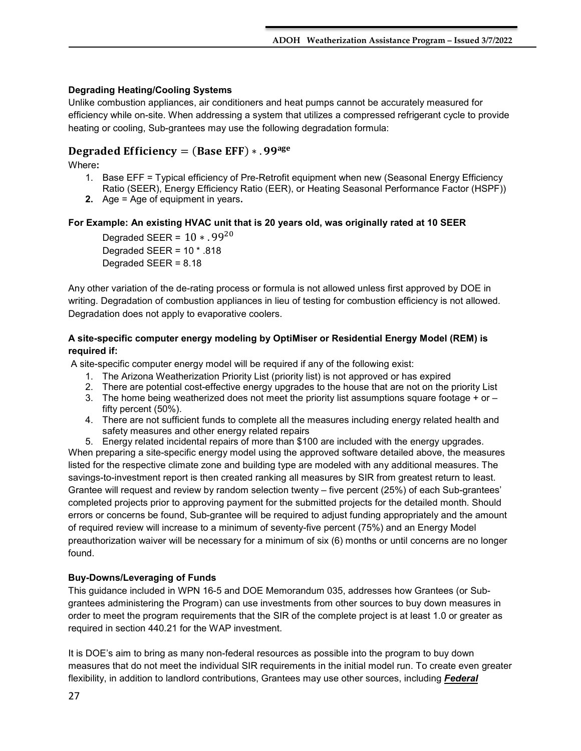## **Degrading Heating/Cooling Systems**

Unlike combustion appliances, air conditioners and heat pumps cannot be accurately measured for efficiency while on-site. When addressing a system that utilizes a compressed refrigerant cycle to provide heating or cooling, Sub-grantees may use the following degradation formula:

## Degraded Efficiency =  $(Base EFF) * .99<sup>age</sup>$

Where**:** 

- 1. Base EFF = Typical efficiency of Pre-Retrofit equipment when new (Seasonal Energy Efficiency Ratio (SEER), Energy Efficiency Ratio (EER), or Heating Seasonal Performance Factor (HSPF))
- **2.** Age = Age of equipment in years**.**

## **For Example: An existing HVAC unit that is 20 years old, was originally rated at 10 SEER**

Degraded SEER =  $10 * .99^{20}$ Degraded SEER = 10 \* .818 Degraded SEER = 8.18

Any other variation of the de-rating process or formula is not allowed unless first approved by DOE in writing. Degradation of combustion appliances in lieu of testing for combustion efficiency is not allowed. Degradation does not apply to evaporative coolers.

## **A site-specific computer energy modeling by OptiMiser or Residential Energy Model (REM) is required if:**

A site-specific computer energy model will be required if any of the following exist:

- 1. The Arizona Weatherization Priority List (priority list) is not approved or has expired
- 2. There are potential cost-effective energy upgrades to the house that are not on the priority List
- 3. The home being weatherized does not meet the priority list assumptions square footage  $+$  or  $$ fifty percent (50%).
- 4. There are not sufficient funds to complete all the measures including energy related health and safety measures and other energy related repairs
- 5. Energy related incidental repairs of more than \$100 are included with the energy upgrades.

When preparing a site-specific energy model using the approved software detailed above, the measures listed for the respective climate zone and building type are modeled with any additional measures. The savings-to-investment report is then created ranking all measures by SIR from greatest return to least. Grantee will request and review by random selection twenty – five percent (25%) of each Sub-grantees' completed projects prior to approving payment for the submitted projects for the detailed month. Should errors or concerns be found, Sub-grantee will be required to adjust funding appropriately and the amount of required review will increase to a minimum of seventy-five percent (75%) and an Energy Model preauthorization waiver will be necessary for a minimum of six (6) months or until concerns are no longer found.

## **Buy-Downs/Leveraging of Funds**

This guidance included in WPN 16-5 and DOE Memorandum 035, addresses how Grantees (or Subgrantees administering the Program) can use investments from other sources to buy down measures in order to meet the program requirements that the SIR of the complete project is at least 1.0 or greater as required in section 440.21 for the WAP investment.

It is DOE's aim to bring as many non-federal resources as possible into the program to buy down measures that do not meet the individual SIR requirements in the initial model run. To create even greater flexibility, in addition to landlord contributions, Grantees may use other sources, including *Federal*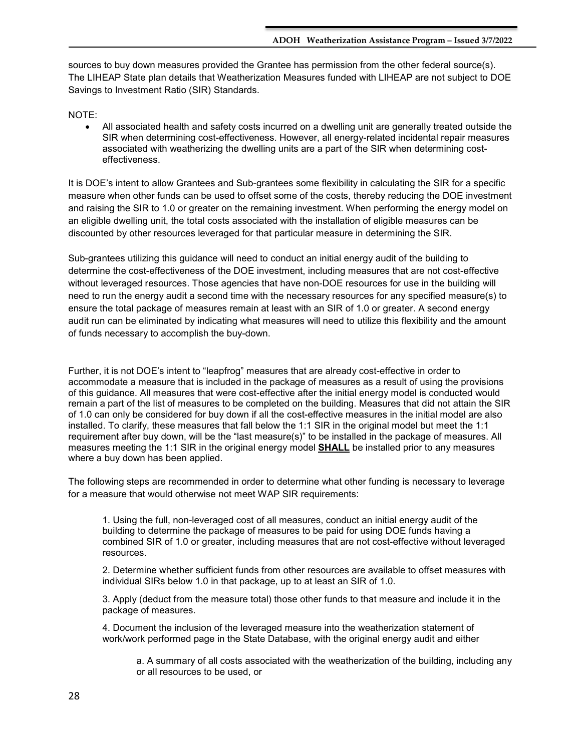sources to buy down measures provided the Grantee has permission from the other federal source(s). The LIHEAP State plan details that Weatherization Measures funded with LIHEAP are not subject to DOE Savings to Investment Ratio (SIR) Standards.

NOTE:

• All associated health and safety costs incurred on a dwelling unit are generally treated outside the SIR when determining cost-effectiveness. However, all energy-related incidental repair measures associated with weatherizing the dwelling units are a part of the SIR when determining costeffectiveness.

It is DOE's intent to allow Grantees and Sub-grantees some flexibility in calculating the SIR for a specific measure when other funds can be used to offset some of the costs, thereby reducing the DOE investment and raising the SIR to 1.0 or greater on the remaining investment. When performing the energy model on an eligible dwelling unit, the total costs associated with the installation of eligible measures can be discounted by other resources leveraged for that particular measure in determining the SIR.

Sub-grantees utilizing this guidance will need to conduct an initial energy audit of the building to determine the cost-effectiveness of the DOE investment, including measures that are not cost-effective without leveraged resources. Those agencies that have non-DOE resources for use in the building will need to run the energy audit a second time with the necessary resources for any specified measure(s) to ensure the total package of measures remain at least with an SIR of 1.0 or greater. A second energy audit run can be eliminated by indicating what measures will need to utilize this flexibility and the amount of funds necessary to accomplish the buy-down.

Further, it is not DOE's intent to "leapfrog" measures that are already cost-effective in order to accommodate a measure that is included in the package of measures as a result of using the provisions of this guidance. All measures that were cost-effective after the initial energy model is conducted would remain a part of the list of measures to be completed on the building. Measures that did not attain the SIR of 1.0 can only be considered for buy down if all the cost-effective measures in the initial model are also installed. To clarify, these measures that fall below the 1:1 SIR in the original model but meet the 1:1 requirement after buy down, will be the "last measure(s)" to be installed in the package of measures. All measures meeting the 1:1 SIR in the original energy model **SHALL** be installed prior to any measures where a buy down has been applied.

The following steps are recommended in order to determine what other funding is necessary to leverage for a measure that would otherwise not meet WAP SIR requirements:

1. Using the full, non-leveraged cost of all measures, conduct an initial energy audit of the building to determine the package of measures to be paid for using DOE funds having a combined SIR of 1.0 or greater, including measures that are not cost-effective without leveraged resources.

2. Determine whether sufficient funds from other resources are available to offset measures with individual SIRs below 1.0 in that package, up to at least an SIR of 1.0.

3. Apply (deduct from the measure total) those other funds to that measure and include it in the package of measures.

4. Document the inclusion of the leveraged measure into the weatherization statement of work/work performed page in the State Database, with the original energy audit and either

a. A summary of all costs associated with the weatherization of the building, including any or all resources to be used, or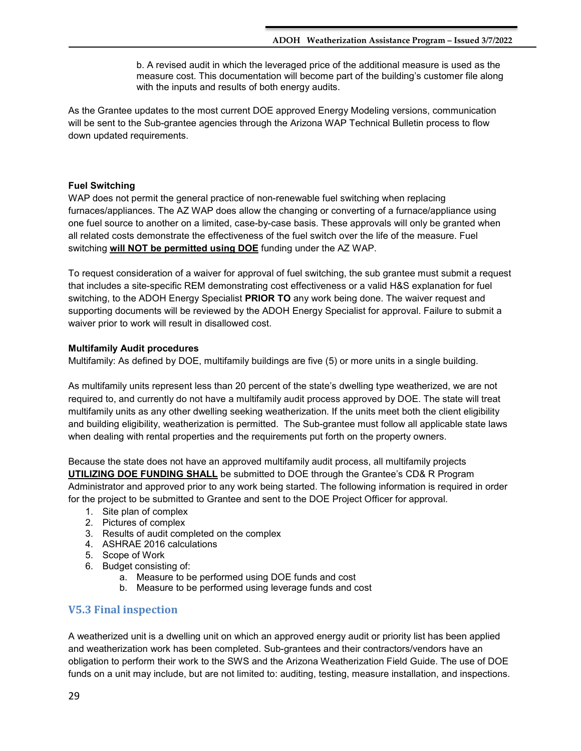b. A revised audit in which the leveraged price of the additional measure is used as the measure cost. This documentation will become part of the building's customer file along with the inputs and results of both energy audits.

As the Grantee updates to the most current DOE approved Energy Modeling versions, communication will be sent to the Sub-grantee agencies through the Arizona WAP Technical Bulletin process to flow down updated requirements.

## **Fuel Switching**

WAP does not permit the general practice of non-renewable fuel switching when replacing furnaces/appliances. The AZ WAP does allow the changing or converting of a furnace/appliance using one fuel source to another on a limited, case-by-case basis. These approvals will only be granted when all related costs demonstrate the effectiveness of the fuel switch over the life of the measure. Fuel switching **will NOT be permitted using DOE** funding under the AZ WAP.

To request consideration of a waiver for approval of fuel switching, the sub grantee must submit a request that includes a site-specific REM demonstrating cost effectiveness or a valid H&S explanation for fuel switching, to the ADOH Energy Specialist **PRIOR TO** any work being done. The waiver request and supporting documents will be reviewed by the ADOH Energy Specialist for approval. Failure to submit a waiver prior to work will result in disallowed cost.

### **Multifamily Audit procedures**

Multifamily: As defined by DOE, multifamily buildings are five (5) or more units in a single building.

As multifamily units represent less than 20 percent of the state's dwelling type weatherized, we are not required to, and currently do not have a multifamily audit process approved by DOE. The state will treat multifamily units as any other dwelling seeking weatherization. If the units meet both the client eligibility and building eligibility, weatherization is permitted. The Sub-grantee must follow all applicable state laws when dealing with rental properties and the requirements put forth on the property owners.

Because the state does not have an approved multifamily audit process, all multifamily projects **UTILIZING DOE FUNDING SHALL** be submitted to DOE through the Grantee's CD& R Program Administrator and approved prior to any work being started. The following information is required in order for the project to be submitted to Grantee and sent to the DOE Project Officer for approval.

- 1. Site plan of complex
- 2. Pictures of complex
- 3. Results of audit completed on the complex
- 4. ASHRAE 2016 calculations
- 5. Scope of Work
- 6. Budget consisting of:
	- a. Measure to be performed using DOE funds and cost
	- b. Measure to be performed using leverage funds and cost

## <span id="page-28-0"></span>**V5.3 Final inspection**

A weatherized unit is a dwelling unit on which an approved energy audit or priority list has been applied and weatherization work has been completed. Sub-grantees and their contractors/vendors have an obligation to perform their work to the SWS and the Arizona Weatherization Field Guide. The use of DOE funds on a unit may include, but are not limited to: auditing, testing, measure installation, and inspections.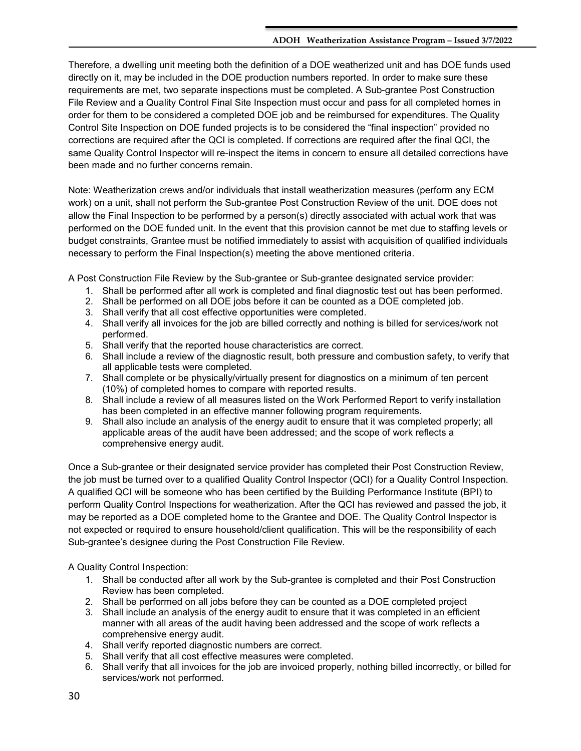Therefore, a dwelling unit meeting both the definition of a DOE weatherized unit and has DOE funds used directly on it, may be included in the DOE production numbers reported. In order to make sure these requirements are met, two separate inspections must be completed. A Sub-grantee Post Construction File Review and a Quality Control Final Site Inspection must occur and pass for all completed homes in order for them to be considered a completed DOE job and be reimbursed for expenditures. The Quality Control Site Inspection on DOE funded projects is to be considered the "final inspection" provided no corrections are required after the QCI is completed. If corrections are required after the final QCI, the same Quality Control Inspector will re-inspect the items in concern to ensure all detailed corrections have been made and no further concerns remain.

Note: Weatherization crews and/or individuals that install weatherization measures (perform any ECM work) on a unit, shall not perform the Sub-grantee Post Construction Review of the unit. DOE does not allow the Final Inspection to be performed by a person(s) directly associated with actual work that was performed on the DOE funded unit. In the event that this provision cannot be met due to staffing levels or budget constraints, Grantee must be notified immediately to assist with acquisition of qualified individuals necessary to perform the Final Inspection(s) meeting the above mentioned criteria.

A Post Construction File Review by the Sub-grantee or Sub-grantee designated service provider:

- 1. Shall be performed after all work is completed and final diagnostic test out has been performed.
- 2. Shall be performed on all DOE jobs before it can be counted as a DOE completed job.
- 3. Shall verify that all cost effective opportunities were completed.
- 4. Shall verify all invoices for the job are billed correctly and nothing is billed for services/work not performed.
- 5. Shall verify that the reported house characteristics are correct.
- 6. Shall include a review of the diagnostic result, both pressure and combustion safety, to verify that all applicable tests were completed.
- 7. Shall complete or be physically/virtually present for diagnostics on a minimum of ten percent (10%) of completed homes to compare with reported results.
- 8. Shall include a review of all measures listed on the Work Performed Report to verify installation has been completed in an effective manner following program requirements.
- 9. Shall also include an analysis of the energy audit to ensure that it was completed properly; all applicable areas of the audit have been addressed; and the scope of work reflects a comprehensive energy audit.

Once a Sub-grantee or their designated service provider has completed their Post Construction Review, the job must be turned over to a qualified Quality Control Inspector (QCI) for a Quality Control Inspection. A qualified QCI will be someone who has been certified by the Building Performance Institute (BPI) to perform Quality Control Inspections for weatherization. After the QCI has reviewed and passed the job, it may be reported as a DOE completed home to the Grantee and DOE. The Quality Control Inspector is not expected or required to ensure household/client qualification. This will be the responsibility of each Sub-grantee's designee during the Post Construction File Review.

A Quality Control Inspection:

- 1. Shall be conducted after all work by the Sub-grantee is completed and their Post Construction Review has been completed.
- 2. Shall be performed on all jobs before they can be counted as a DOE completed project
- 3. Shall include an analysis of the energy audit to ensure that it was completed in an efficient manner with all areas of the audit having been addressed and the scope of work reflects a comprehensive energy audit.
- 4. Shall verify reported diagnostic numbers are correct.
- 5. Shall verify that all cost effective measures were completed.
- 6. Shall verify that all invoices for the job are invoiced properly, nothing billed incorrectly, or billed for services/work not performed.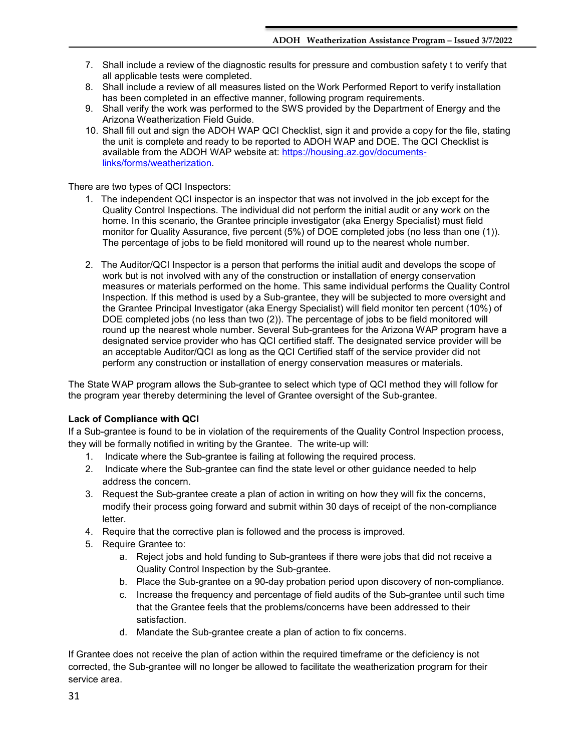- 7. Shall include a review of the diagnostic results for pressure and combustion safety t to verify that all applicable tests were completed.
- 8. Shall include a review of all measures listed on the Work Performed Report to verify installation has been completed in an effective manner, following program requirements.
- 9. Shall verify the work was performed to the SWS provided by the Department of Energy and the Arizona Weatherization Field Guide.
- 10. Shall fill out and sign the ADOH WAP QCI Checklist, sign it and provide a copy for the file, stating the unit is complete and ready to be reported to ADOH WAP and DOE. The QCI Checklist is available from the ADOH WAP website at: [https://housing.az.gov/documents](https://housing.az.gov/documents-links/forms/weatherization)[links/forms/weatherization.](https://housing.az.gov/documents-links/forms/weatherization)

There are two types of QCI Inspectors:

- 1. The independent QCI inspector is an inspector that was not involved in the job except for the Quality Control Inspections. The individual did not perform the initial audit or any work on the home. In this scenario, the Grantee principle investigator (aka Energy Specialist) must field monitor for Quality Assurance, five percent (5%) of DOE completed jobs (no less than one (1)). The percentage of jobs to be field monitored will round up to the nearest whole number.
- 2. The Auditor/QCI Inspector is a person that performs the initial audit and develops the scope of work but is not involved with any of the construction or installation of energy conservation measures or materials performed on the home. This same individual performs the Quality Control Inspection. If this method is used by a Sub-grantee, they will be subjected to more oversight and the Grantee Principal Investigator (aka Energy Specialist) will field monitor ten percent (10%) of DOE completed jobs (no less than two (2)). The percentage of jobs to be field monitored will round up the nearest whole number. Several Sub-grantees for the Arizona WAP program have a designated service provider who has QCI certified staff. The designated service provider will be an acceptable Auditor/QCI as long as the QCI Certified staff of the service provider did not perform any construction or installation of energy conservation measures or materials.

The State WAP program allows the Sub-grantee to select which type of QCI method they will follow for the program year thereby determining the level of Grantee oversight of the Sub-grantee.

## **Lack of Compliance with QCI**

If a Sub-grantee is found to be in violation of the requirements of the Quality Control Inspection process, they will be formally notified in writing by the Grantee. The write-up will:

- 1. Indicate where the Sub-grantee is failing at following the required process.
- 2. Indicate where the Sub-grantee can find the state level or other guidance needed to help address the concern.
- 3. Request the Sub-grantee create a plan of action in writing on how they will fix the concerns, modify their process going forward and submit within 30 days of receipt of the non-compliance letter.
- 4. Require that the corrective plan is followed and the process is improved.
- 5. Require Grantee to:
	- a. Reject jobs and hold funding to Sub-grantees if there were jobs that did not receive a Quality Control Inspection by the Sub-grantee.
	- b. Place the Sub-grantee on a 90-day probation period upon discovery of non-compliance.
	- c. Increase the frequency and percentage of field audits of the Sub-grantee until such time that the Grantee feels that the problems/concerns have been addressed to their satisfaction.
	- d. Mandate the Sub-grantee create a plan of action to fix concerns.

If Grantee does not receive the plan of action within the required timeframe or the deficiency is not corrected, the Sub-grantee will no longer be allowed to facilitate the weatherization program for their service area.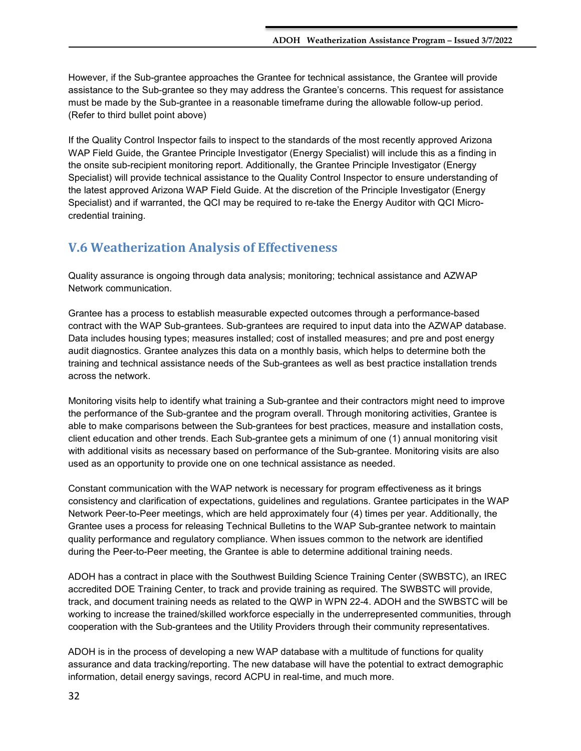However, if the Sub-grantee approaches the Grantee for technical assistance, the Grantee will provide assistance to the Sub-grantee so they may address the Grantee's concerns. This request for assistance must be made by the Sub-grantee in a reasonable timeframe during the allowable follow-up period. (Refer to third bullet point above)

If the Quality Control Inspector fails to inspect to the standards of the most recently approved Arizona WAP Field Guide, the Grantee Principle Investigator (Energy Specialist) will include this as a finding in the onsite sub-recipient monitoring report. Additionally, the Grantee Principle Investigator (Energy Specialist) will provide technical assistance to the Quality Control Inspector to ensure understanding of the latest approved Arizona WAP Field Guide. At the discretion of the Principle Investigator (Energy Specialist) and if warranted, the QCI may be required to re-take the Energy Auditor with QCI Microcredential training.

## <span id="page-31-0"></span>**V.6 Weatherization Analysis of Effectiveness**

Quality assurance is ongoing through data analysis; monitoring; technical assistance and AZWAP Network communication.

Grantee has a process to establish measurable expected outcomes through a performance-based contract with the WAP Sub-grantees. Sub-grantees are required to input data into the AZWAP database. Data includes housing types; measures installed; cost of installed measures; and pre and post energy audit diagnostics. Grantee analyzes this data on a monthly basis, which helps to determine both the training and technical assistance needs of the Sub-grantees as well as best practice installation trends across the network.

Monitoring visits help to identify what training a Sub-grantee and their contractors might need to improve the performance of the Sub-grantee and the program overall. Through monitoring activities, Grantee is able to make comparisons between the Sub-grantees for best practices, measure and installation costs, client education and other trends. Each Sub-grantee gets a minimum of one (1) annual monitoring visit with additional visits as necessary based on performance of the Sub-grantee. Monitoring visits are also used as an opportunity to provide one on one technical assistance as needed.

Constant communication with the WAP network is necessary for program effectiveness as it brings consistency and clarification of expectations, guidelines and regulations. Grantee participates in the WAP Network Peer-to-Peer meetings, which are held approximately four (4) times per year. Additionally, the Grantee uses a process for releasing Technical Bulletins to the WAP Sub-grantee network to maintain quality performance and regulatory compliance. When issues common to the network are identified during the Peer-to-Peer meeting, the Grantee is able to determine additional training needs.

ADOH has a contract in place with the Southwest Building Science Training Center (SWBSTC), an IREC accredited DOE Training Center, to track and provide training as required. The SWBSTC will provide, track, and document training needs as related to the QWP in WPN 22-4. ADOH and the SWBSTC will be working to increase the trained/skilled workforce especially in the underrepresented communities, through cooperation with the Sub-grantees and the Utility Providers through their community representatives.

ADOH is in the process of developing a new WAP database with a multitude of functions for quality assurance and data tracking/reporting. The new database will have the potential to extract demographic information, detail energy savings, record ACPU in real-time, and much more.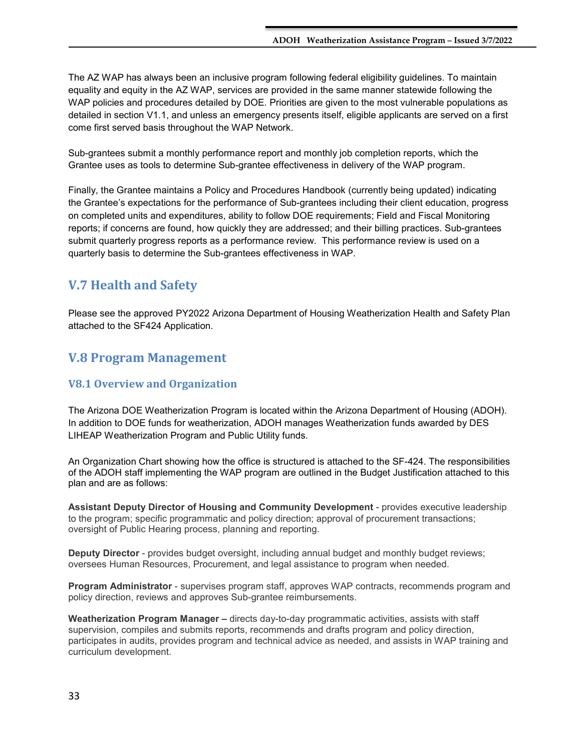The AZ WAP has always been an inclusive program following federal eligibility guidelines. To maintain equality and equity in the AZ WAP, services are provided in the same manner statewide following the WAP policies and procedures detailed by DOE. Priorities are given to the most vulnerable populations as detailed in section V1.1, and unless an emergency presents itself, eligible applicants are served on a first come first served basis throughout the WAP Network.

Sub-grantees submit a monthly performance report and monthly job completion reports, which the Grantee uses as tools to determine Sub-grantee effectiveness in delivery of the WAP program.

Finally, the Grantee maintains a Policy and Procedures Handbook (currently being updated) indicating the Grantee's expectations for the performance of Sub-grantees including their client education, progress on completed units and expenditures, ability to follow DOE requirements; Field and Fiscal Monitoring reports; if concerns are found, how quickly they are addressed; and their billing practices. Sub-grantees submit quarterly progress reports as a performance review. This performance review is used on a quarterly basis to determine the Sub-grantees effectiveness in WAP.

## <span id="page-32-0"></span>**V.7 Health and Safety**

Please see the approved PY2022 Arizona Department of Housing Weatherization Health and Safety Plan attached to the SF424 Application.

## <span id="page-32-1"></span>**V.8 Program Management**

## <span id="page-32-2"></span>**V8.1 Overview and Organization**

The Arizona DOE Weatherization Program is located within the Arizona Department of Housing (ADOH). In addition to DOE funds for weatherization, ADOH manages Weatherization funds awarded by DES LIHEAP Weatherization Program and Public Utility funds.

An Organization Chart showing how the office is structured is attached to the SF-424. The responsibilities of the ADOH staff implementing the WAP program are outlined in the Budget Justification attached to this plan and are as follows:

**Assistant Deputy Director of Housing and Community Development** - provides executive leadership to the program; specific programmatic and policy direction; approval of procurement transactions; oversight of Public Hearing process, planning and reporting.

**Deputy Director** - provides budget oversight, including annual budget and monthly budget reviews; oversees Human Resources, Procurement, and legal assistance to program when needed.

**Program Administrator** - supervises program staff, approves WAP contracts, recommends program and policy direction, reviews and approves Sub-grantee reimbursements.

**Weatherization Program Manager –** directs day-to-day programmatic activities, assists with staff supervision, compiles and submits reports, recommends and drafts program and policy direction, participates in audits, provides program and technical advice as needed, and assists in WAP training and curriculum development.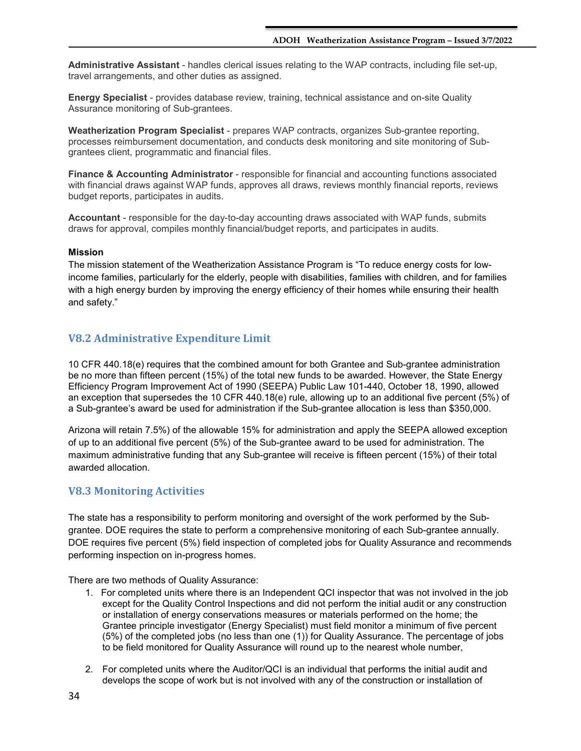**Administrative Assistant** - handles clerical issues relating to the WAP contracts, including file set-up, travel arrangements, and other duties as assigned.

**Energy Specialist** - provides database review, training, technical assistance and on-site Quality Assurance monitoring of Sub-grantees.

**Weatherization Program Specialist** - prepares WAP contracts, organizes Sub-grantee reporting, processes reimbursement documentation, and conducts desk monitoring and site monitoring of Subgrantees client, programmatic and financial files.

**Finance & Accounting Administrator** - responsible for financial and accounting functions associated with financial draws against WAP funds, approves all draws, reviews monthly financial reports, reviews budget reports, participates in audits.

**Accountant** - responsible for the day-to-day accounting draws associated with WAP funds, submits draws for approval, compiles monthly financial/budget reports, and participates in audits.

#### **Mission**

The mission statement of the Weatherization Assistance Program is "To reduce energy costs for lowincome families, particularly for the elderly, people with disabilities, families with children, and for families with a high energy burden by improving the energy efficiency of their homes while ensuring their health and safety."

## <span id="page-33-0"></span>**V8.2 Administrative Expenditure Limit**

10 CFR 440.18(e) requires that the combined amount for both Grantee and Sub-grantee administration be no more than fifteen percent (15%) of the total new funds to be awarded. However, the State Energy Efficiency Program Improvement Act of 1990 (SEEPA) Public Law 101-440, October 18, 1990, allowed an exception that supersedes the 10 CFR 440.18(e) rule, allowing up to an additional five percent (5%) of a Sub-grantee's award be used for administration if the Sub-grantee allocation is less than \$350,000.

Arizona will retain 7.5%) of the allowable 15% for administration and apply the SEEPA allowed exception of up to an additional five percent (5%) of the Sub-grantee award to be used for administration. The maximum administrative funding that any Sub-grantee will receive is fifteen percent (15%) of their total awarded allocation.

## <span id="page-33-1"></span>**V8.3 Monitoring Activities**

The state has a responsibility to perform monitoring and oversight of the work performed by the Subgrantee. DOE requires the state to perform a comprehensive monitoring of each Sub-grantee annually. DOE requires five percent (5%) field inspection of completed jobs for Quality Assurance and recommends performing inspection on in-progress homes.

There are two methods of Quality Assurance:

- 1. For completed units where there is an Independent QCI inspector that was not involved in the job except for the Quality Control Inspections and did not perform the initial audit or any construction or installation of energy conservations measures or materials performed on the home; the Grantee principle investigator (Energy Specialist) must field monitor a minimum of five percent (5%) of the completed jobs (no less than one (1)) for Quality Assurance. The percentage of jobs to be field monitored for Quality Assurance will round up to the nearest whole number,
- 2. For completed units where the Auditor/QCI is an individual that performs the initial audit and develops the scope of work but is not involved with any of the construction or installation of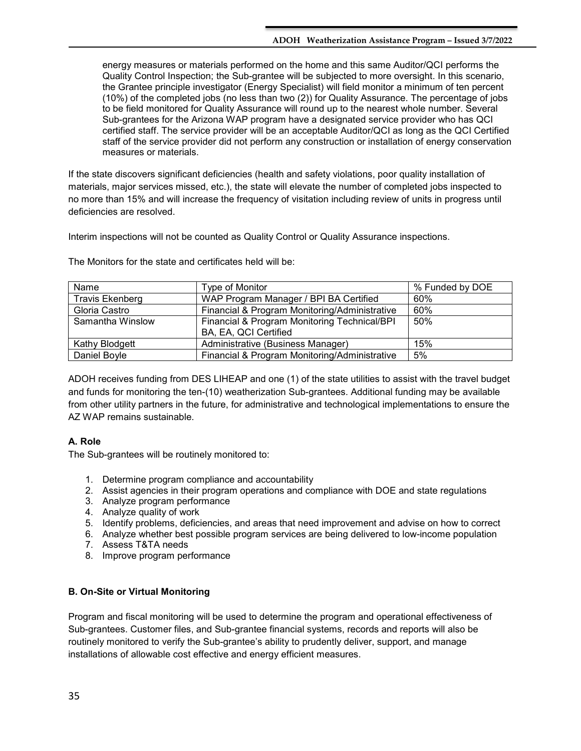energy measures or materials performed on the home and this same Auditor/QCI performs the Quality Control Inspection; the Sub-grantee will be subjected to more oversight. In this scenario, the Grantee principle investigator (Energy Specialist) will field monitor a minimum of ten percent (10%) of the completed jobs (no less than two (2)) for Quality Assurance. The percentage of jobs to be field monitored for Quality Assurance will round up to the nearest whole number. Several Sub-grantees for the Arizona WAP program have a designated service provider who has QCI certified staff. The service provider will be an acceptable Auditor/QCI as long as the QCI Certified staff of the service provider did not perform any construction or installation of energy conservation measures or materials.

If the state discovers significant deficiencies (health and safety violations, poor quality installation of materials, major services missed, etc.), the state will elevate the number of completed jobs inspected to no more than 15% and will increase the frequency of visitation including review of units in progress until deficiencies are resolved.

Interim inspections will not be counted as Quality Control or Quality Assurance inspections.

| Name                   | Type of Monitor                                                       | % Funded by DOE |
|------------------------|-----------------------------------------------------------------------|-----------------|
| <b>Travis Ekenberg</b> | WAP Program Manager / BPI BA Certified                                | 60%             |
| Gloria Castro          | Financial & Program Monitoring/Administrative                         | 60%             |
| Samantha Winslow       | Financial & Program Monitoring Technical/BPI<br>BA, EA, QCI Certified | 50%             |
| Kathy Blodgett         | Administrative (Business Manager)                                     | 15%             |
| Daniel Boyle           | Financial & Program Monitoring/Administrative                         | 5%              |

The Monitors for the state and certificates held will be:

ADOH receives funding from DES LIHEAP and one (1) of the state utilities to assist with the travel budget and funds for monitoring the ten-(10) weatherization Sub-grantees. Additional funding may be available from other utility partners in the future, for administrative and technological implementations to ensure the AZ WAP remains sustainable.

## **A. Role**

The Sub-grantees will be routinely monitored to:

- 1. Determine program compliance and accountability
- 2. Assist agencies in their program operations and compliance with DOE and state regulations
- 3. Analyze program performance
- 4. Analyze quality of work
- 5. Identify problems, deficiencies, and areas that need improvement and advise on how to correct
- 6. Analyze whether best possible program services are being delivered to low-income population
- 7. Assess T&TA needs
- 8. Improve program performance

## **B. On-Site or Virtual Monitoring**

Program and fiscal monitoring will be used to determine the program and operational effectiveness of Sub-grantees. Customer files, and Sub-grantee financial systems, records and reports will also be routinely monitored to verify the Sub-grantee's ability to prudently deliver, support, and manage installations of allowable cost effective and energy efficient measures.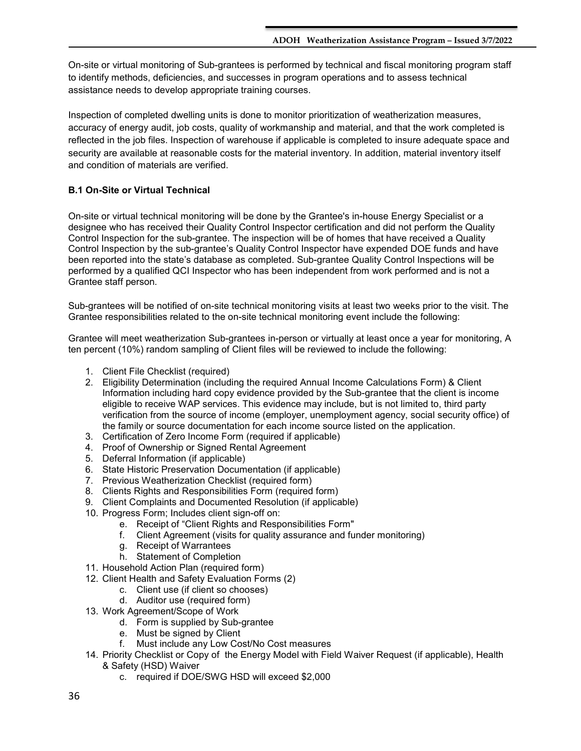On-site or virtual monitoring of Sub-grantees is performed by technical and fiscal monitoring program staff to identify methods, deficiencies, and successes in program operations and to assess technical assistance needs to develop appropriate training courses.

Inspection of completed dwelling units is done to monitor prioritization of weatherization measures, accuracy of energy audit, job costs, quality of workmanship and material, and that the work completed is reflected in the job files. Inspection of warehouse if applicable is completed to insure adequate space and security are available at reasonable costs for the material inventory. In addition, material inventory itself and condition of materials are verified.

## **B.1 On-Site or Virtual Technical**

On-site or virtual technical monitoring will be done by the Grantee's in-house Energy Specialist or a designee who has received their Quality Control Inspector certification and did not perform the Quality Control Inspection for the sub-grantee. The inspection will be of homes that have received a Quality Control Inspection by the sub-grantee's Quality Control Inspector have expended DOE funds and have been reported into the state's database as completed. Sub-grantee Quality Control Inspections will be performed by a qualified QCI Inspector who has been independent from work performed and is not a Grantee staff person.

Sub-grantees will be notified of on-site technical monitoring visits at least two weeks prior to the visit. The Grantee responsibilities related to the on-site technical monitoring event include the following:

Grantee will meet weatherization Sub-grantees in-person or virtually at least once a year for monitoring, A ten percent (10%) random sampling of Client files will be reviewed to include the following:

- 1. Client File Checklist (required)
- 2. Eligibility Determination (including the required Annual Income Calculations Form) & Client Information including hard copy evidence provided by the Sub-grantee that the client is income eligible to receive WAP services. This evidence may include, but is not limited to, third party verification from the source of income (employer, unemployment agency, social security office) of the family or source documentation for each income source listed on the application.
- 3. Certification of Zero Income Form (required if applicable)
- 4. Proof of Ownership or Signed Rental Agreement
- 5. Deferral Information (if applicable)
- 6. State Historic Preservation Documentation (if applicable)
- 7. Previous Weatherization Checklist (required form)
- 8. Clients Rights and Responsibilities Form (required form)
- 9. Client Complaints and Documented Resolution (if applicable)
- 10. Progress Form; Includes client sign-off on:
	- e. Receipt of "Client Rights and Responsibilities Form"
	- f. Client Agreement (visits for quality assurance and funder monitoring)
	- g. Receipt of Warrantees
	- h. Statement of Completion
- 11. Household Action Plan (required form)
- 12. Client Health and Safety Evaluation Forms (2)
	- c. Client use (if client so chooses)
	- d. Auditor use (required form)
- 13. Work Agreement/Scope of Work
	- d. Form is supplied by Sub-grantee
	- e. Must be signed by Client
	- f. Must include any Low Cost/No Cost measures
- 14. Priority Checklist or Copy of the Energy Model with Field Waiver Request (if applicable), Health & Safety (HSD) Waiver
	- c. required if DOE/SWG HSD will exceed \$2,000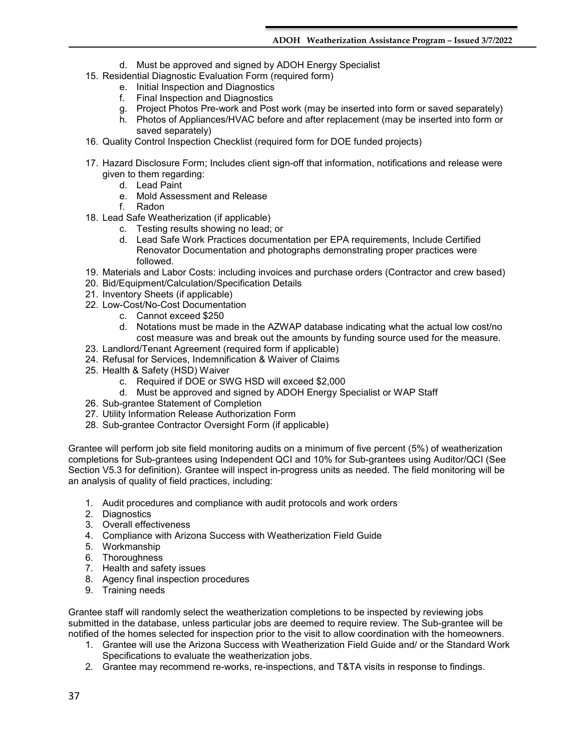- d. Must be approved and signed by ADOH Energy Specialist
- 15. Residential Diagnostic Evaluation Form (required form)
	- e. Initial Inspection and Diagnostics
	- f. Final Inspection and Diagnostics
	- g. Project Photos Pre-work and Post work (may be inserted into form or saved separately)
	- h. Photos of Appliances/HVAC before and after replacement (may be inserted into form or saved separately)
- 16. Quality Control Inspection Checklist (required form for DOE funded projects)
- 17. Hazard Disclosure Form; Includes client sign-off that information, notifications and release were given to them regarding:
	- d. Lead Paint
	- e. Mold Assessment and Release
	- f. Radon
- 18. Lead Safe Weatherization (if applicable)
	- c. Testing results showing no lead; or
	- d. Lead Safe Work Practices documentation per EPA requirements, Include Certified Renovator Documentation and photographs demonstrating proper practices were followed.
- 19. Materials and Labor Costs: including invoices and purchase orders (Contractor and crew based)
- 20. Bid/Equipment/Calculation/Specification Details
- 21. Inventory Sheets (if applicable)
- 22. Low-Cost/No-Cost Documentation
	- c. Cannot exceed \$250
	- d. Notations must be made in the AZWAP database indicating what the actual low cost/no cost measure was and break out the amounts by funding source used for the measure.
- 23. Landlord/Tenant Agreement (required form if applicable)
- 24. Refusal for Services, Indemnification & Waiver of Claims
- 25. Health & Safety (HSD) Waiver
	- c. Required if DOE or SWG HSD will exceed \$2,000
	- d. Must be approved and signed by ADOH Energy Specialist or WAP Staff
- 26. Sub-grantee Statement of Completion
- 27. Utility Information Release Authorization Form
- 28. Sub-grantee Contractor Oversight Form (if applicable)

Grantee will perform job site field monitoring audits on a minimum of five percent (5%) of weatherization completions for Sub-grantees using Independent QCI and 10% for Sub-grantees using Auditor/QCI (See Section V5.3 for definition). Grantee will inspect in-progress units as needed. The field monitoring will be an analysis of quality of field practices, including:

- 1. Audit procedures and compliance with audit protocols and work orders
- 2. Diagnostics
- 3. Overall effectiveness
- 4. Compliance with Arizona Success with Weatherization Field Guide
- 5. Workmanship
- 6. Thoroughness
- 7. Health and safety issues
- 8. Agency final inspection procedures
- 9. Training needs

Grantee staff will randomly select the weatherization completions to be inspected by reviewing jobs submitted in the database, unless particular jobs are deemed to require review. The Sub-grantee will be notified of the homes selected for inspection prior to the visit to allow coordination with the homeowners.

- 1. Grantee will use the Arizona Success with Weatherization Field Guide and/ or the Standard Work Specifications to evaluate the weatherization jobs.
- 2. Grantee may recommend re-works, re-inspections, and T&TA visits in response to findings.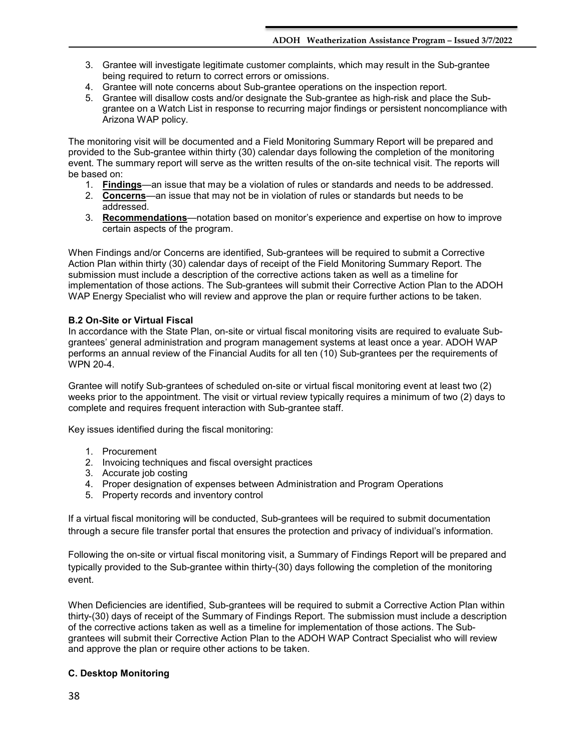- 3. Grantee will investigate legitimate customer complaints, which may result in the Sub-grantee being required to return to correct errors or omissions.
- 4. Grantee will note concerns about Sub-grantee operations on the inspection report.
- 5. Grantee will disallow costs and/or designate the Sub-grantee as high-risk and place the Subgrantee on a Watch List in response to recurring major findings or persistent noncompliance with Arizona WAP policy.

The monitoring visit will be documented and a Field Monitoring Summary Report will be prepared and provided to the Sub-grantee within thirty (30) calendar days following the completion of the monitoring event. The summary report will serve as the written results of the on-site technical visit. The reports will be based on:

- 1. **Findings**—an issue that may be a violation of rules or standards and needs to be addressed.
- 2. **Concerns**—an issue that may not be in violation of rules or standards but needs to be addressed.
- 3. **Recommendations**—notation based on monitor's experience and expertise on how to improve certain aspects of the program.

When Findings and/or Concerns are identified, Sub-grantees will be required to submit a Corrective Action Plan within thirty (30) calendar days of receipt of the Field Monitoring Summary Report. The submission must include a description of the corrective actions taken as well as a timeline for implementation of those actions. The Sub-grantees will submit their Corrective Action Plan to the ADOH WAP Energy Specialist who will review and approve the plan or require further actions to be taken.

## **B.2 On-Site or Virtual Fiscal**

In accordance with the State Plan, on-site or virtual fiscal monitoring visits are required to evaluate Subgrantees' general administration and program management systems at least once a year. ADOH WAP performs an annual review of the Financial Audits for all ten (10) Sub-grantees per the requirements of WPN 20-4.

Grantee will notify Sub-grantees of scheduled on-site or virtual fiscal monitoring event at least two (2) weeks prior to the appointment. The visit or virtual review typically requires a minimum of two (2) days to complete and requires frequent interaction with Sub-grantee staff.

Key issues identified during the fiscal monitoring:

- 1. Procurement
- 2. Invoicing techniques and fiscal oversight practices
- 3. Accurate job costing
- 4. Proper designation of expenses between Administration and Program Operations
- 5. Property records and inventory control

If a virtual fiscal monitoring will be conducted, Sub-grantees will be required to submit documentation through a secure file transfer portal that ensures the protection and privacy of individual's information.

Following the on-site or virtual fiscal monitoring visit, a Summary of Findings Report will be prepared and typically provided to the Sub-grantee within thirty-(30) days following the completion of the monitoring event.

When Deficiencies are identified, Sub-grantees will be required to submit a Corrective Action Plan within thirty-(30) days of receipt of the Summary of Findings Report. The submission must include a description of the corrective actions taken as well as a timeline for implementation of those actions. The Subgrantees will submit their Corrective Action Plan to the ADOH WAP Contract Specialist who will review and approve the plan or require other actions to be taken.

## **C. Desktop Monitoring**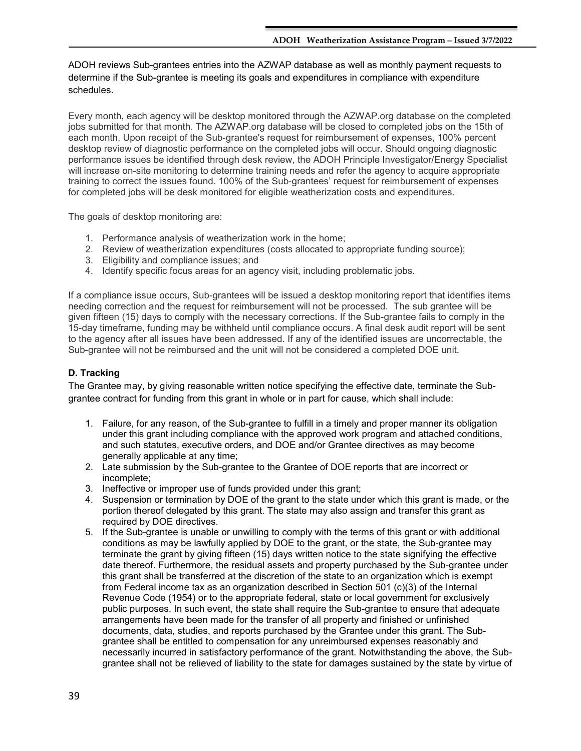ADOH reviews Sub-grantees entries into the AZWAP database as well as monthly payment requests to determine if the Sub-grantee is meeting its goals and expenditures in compliance with expenditure schedules.

Every month, each agency will be desktop monitored through the AZWAP.org database on the completed jobs submitted for that month. The AZWAP.org database will be closed to completed jobs on the 15th of each month. Upon receipt of the Sub-grantee's request for reimbursement of expenses, 100% percent desktop review of diagnostic performance on the completed jobs will occur. Should ongoing diagnostic performance issues be identified through desk review, the ADOH Principle Investigator/Energy Specialist will increase on-site monitoring to determine training needs and refer the agency to acquire appropriate training to correct the issues found. 100% of the Sub-grantees' request for reimbursement of expenses for completed jobs will be desk monitored for eligible weatherization costs and expenditures.

The goals of desktop monitoring are:

- 1. Performance analysis of weatherization work in the home;
- 2. Review of weatherization expenditures (costs allocated to appropriate funding source);
- 3. Eligibility and compliance issues; and
- 4. Identify specific focus areas for an agency visit, including problematic jobs.

If a compliance issue occurs, Sub-grantees will be issued a desktop monitoring report that identifies items needing correction and the request for reimbursement will not be processed. The sub grantee will be given fifteen (15) days to comply with the necessary corrections. If the Sub-grantee fails to comply in the 15-day timeframe, funding may be withheld until compliance occurs. A final desk audit report will be sent to the agency after all issues have been addressed. If any of the identified issues are uncorrectable, the Sub-grantee will not be reimbursed and the unit will not be considered a completed DOE unit.

## **D. Tracking**

The Grantee may, by giving reasonable written notice specifying the effective date, terminate the Subgrantee contract for funding from this grant in whole or in part for cause, which shall include:

- 1. Failure, for any reason, of the Sub-grantee to fulfill in a timely and proper manner its obligation under this grant including compliance with the approved work program and attached conditions, and such statutes, executive orders, and DOE and/or Grantee directives as may become generally applicable at any time;
- 2. Late submission by the Sub-grantee to the Grantee of DOE reports that are incorrect or incomplete;
- 3. Ineffective or improper use of funds provided under this grant;
- 4. Suspension or termination by DOE of the grant to the state under which this grant is made, or the portion thereof delegated by this grant. The state may also assign and transfer this grant as required by DOE directives.
- 5. If the Sub-grantee is unable or unwilling to comply with the terms of this grant or with additional conditions as may be lawfully applied by DOE to the grant, or the state, the Sub-grantee may terminate the grant by giving fifteen (15) days written notice to the state signifying the effective date thereof. Furthermore, the residual assets and property purchased by the Sub-grantee under this grant shall be transferred at the discretion of the state to an organization which is exempt from Federal income tax as an organization described in Section 501 (c)(3) of the Internal Revenue Code (1954) or to the appropriate federal, state or local government for exclusively public purposes. In such event, the state shall require the Sub-grantee to ensure that adequate arrangements have been made for the transfer of all property and finished or unfinished documents, data, studies, and reports purchased by the Grantee under this grant. The Subgrantee shall be entitled to compensation for any unreimbursed expenses reasonably and necessarily incurred in satisfactory performance of the grant. Notwithstanding the above, the Subgrantee shall not be relieved of liability to the state for damages sustained by the state by virtue of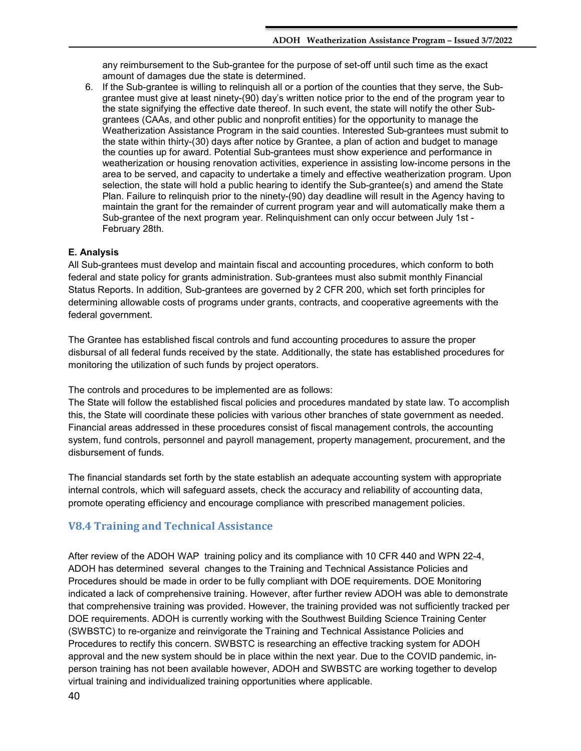any reimbursement to the Sub-grantee for the purpose of set-off until such time as the exact amount of damages due the state is determined.

6. If the Sub-grantee is willing to relinquish all or a portion of the counties that they serve, the Subgrantee must give at least ninety-(90) day's written notice prior to the end of the program year to the state signifying the effective date thereof. In such event, the state will notify the other Subgrantees (CAAs, and other public and nonprofit entities) for the opportunity to manage the Weatherization Assistance Program in the said counties. Interested Sub-grantees must submit to the state within thirty-(30) days after notice by Grantee, a plan of action and budget to manage the counties up for award. Potential Sub-grantees must show experience and performance in weatherization or housing renovation activities, experience in assisting low-income persons in the area to be served, and capacity to undertake a timely and effective weatherization program. Upon selection, the state will hold a public hearing to identify the Sub-grantee(s) and amend the State Plan. Failure to relinquish prior to the ninety-(90) day deadline will result in the Agency having to maintain the grant for the remainder of current program year and will automatically make them a Sub-grantee of the next program year. Relinquishment can only occur between July 1st - February 28th.

#### **E. Analysis**

All Sub-grantees must develop and maintain fiscal and accounting procedures, which conform to both federal and state policy for grants administration. Sub-grantees must also submit monthly Financial Status Reports. In addition, Sub-grantees are governed by 2 CFR 200, which set forth principles for determining allowable costs of programs under grants, contracts, and cooperative agreements with the federal government.

The Grantee has established fiscal controls and fund accounting procedures to assure the proper disbursal of all federal funds received by the state. Additionally, the state has established procedures for monitoring the utilization of such funds by project operators.

The controls and procedures to be implemented are as follows:

The State will follow the established fiscal policies and procedures mandated by state law. To accomplish this, the State will coordinate these policies with various other branches of state government as needed. Financial areas addressed in these procedures consist of fiscal management controls, the accounting system, fund controls, personnel and payroll management, property management, procurement, and the disbursement of funds.

The financial standards set forth by the state establish an adequate accounting system with appropriate internal controls, which will safeguard assets, check the accuracy and reliability of accounting data, promote operating efficiency and encourage compliance with prescribed management policies.

## <span id="page-39-0"></span>**V8.4 Training and Technical Assistance**

After review of the ADOH WAP training policy and its compliance with 10 CFR 440 and WPN 22-4, ADOH has determined several changes to the Training and Technical Assistance Policies and Procedures should be made in order to be fully compliant with DOE requirements. DOE Monitoring indicated a lack of comprehensive training. However, after further review ADOH was able to demonstrate that comprehensive training was provided. However, the training provided was not sufficiently tracked per DOE requirements. ADOH is currently working with the Southwest Building Science Training Center (SWBSTC) to re-organize and reinvigorate the Training and Technical Assistance Policies and Procedures to rectify this concern. SWBSTC is researching an effective tracking system for ADOH approval and the new system should be in place within the next year. Due to the COVID pandemic, inperson training has not been available however, ADOH and SWBSTC are working together to develop virtual training and individualized training opportunities where applicable.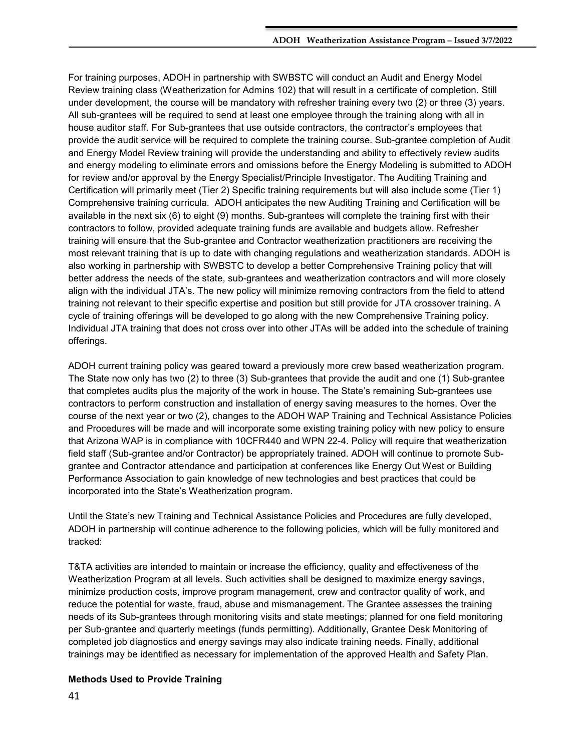For training purposes, ADOH in partnership with SWBSTC will conduct an Audit and Energy Model Review training class (Weatherization for Admins 102) that will result in a certificate of completion. Still under development, the course will be mandatory with refresher training every two (2) or three (3) years. All sub-grantees will be required to send at least one employee through the training along with all in house auditor staff. For Sub-grantees that use outside contractors, the contractor's employees that provide the audit service will be required to complete the training course. Sub-grantee completion of Audit and Energy Model Review training will provide the understanding and ability to effectively review audits and energy modeling to eliminate errors and omissions before the Energy Modeling is submitted to ADOH for review and/or approval by the Energy Specialist/Principle Investigator. The Auditing Training and Certification will primarily meet (Tier 2) Specific training requirements but will also include some (Tier 1) Comprehensive training curricula. ADOH anticipates the new Auditing Training and Certification will be available in the next six (6) to eight (9) months. Sub-grantees will complete the training first with their contractors to follow, provided adequate training funds are available and budgets allow. Refresher training will ensure that the Sub-grantee and Contractor weatherization practitioners are receiving the most relevant training that is up to date with changing regulations and weatherization standards. ADOH is also working in partnership with SWBSTC to develop a better Comprehensive Training policy that will better address the needs of the state, sub-grantees and weatherization contractors and will more closely align with the individual JTA's. The new policy will minimize removing contractors from the field to attend training not relevant to their specific expertise and position but still provide for JTA crossover training. A cycle of training offerings will be developed to go along with the new Comprehensive Training policy. Individual JTA training that does not cross over into other JTAs will be added into the schedule of training offerings.

ADOH current training policy was geared toward a previously more crew based weatherization program. The State now only has two (2) to three (3) Sub-grantees that provide the audit and one (1) Sub-grantee that completes audits plus the majority of the work in house. The State's remaining Sub-grantees use contractors to perform construction and installation of energy saving measures to the homes. Over the course of the next year or two (2), changes to the ADOH WAP Training and Technical Assistance Policies and Procedures will be made and will incorporate some existing training policy with new policy to ensure that Arizona WAP is in compliance with 10CFR440 and WPN 22-4. Policy will require that weatherization field staff (Sub-grantee and/or Contractor) be appropriately trained. ADOH will continue to promote Subgrantee and Contractor attendance and participation at conferences like Energy Out West or Building Performance Association to gain knowledge of new technologies and best practices that could be incorporated into the State's Weatherization program.

Until the State's new Training and Technical Assistance Policies and Procedures are fully developed, ADOH in partnership will continue adherence to the following policies, which will be fully monitored and tracked:

T&TA activities are intended to maintain or increase the efficiency, quality and effectiveness of the Weatherization Program at all levels. Such activities shall be designed to maximize energy savings, minimize production costs, improve program management, crew and contractor quality of work, and reduce the potential for waste, fraud, abuse and mismanagement. The Grantee assesses the training needs of its Sub-grantees through monitoring visits and state meetings; planned for one field monitoring per Sub-grantee and quarterly meetings (funds permitting). Additionally, Grantee Desk Monitoring of completed job diagnostics and energy savings may also indicate training needs. Finally, additional trainings may be identified as necessary for implementation of the approved Health and Safety Plan.

## **Methods Used to Provide Training**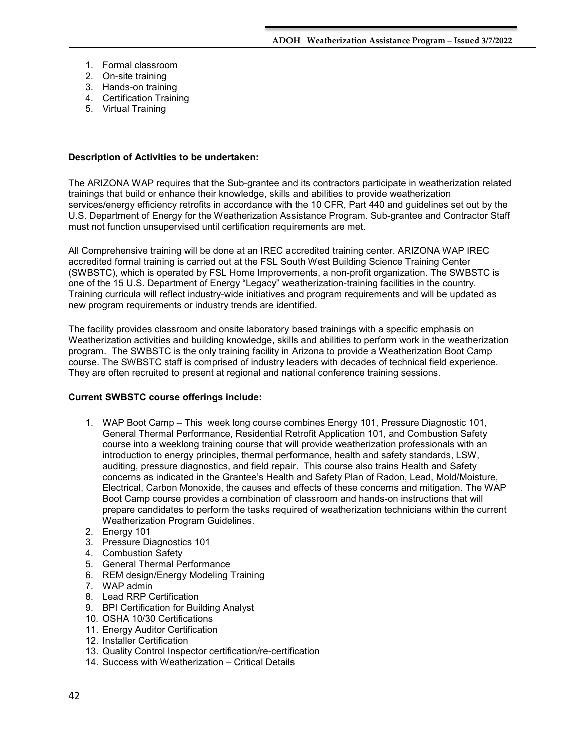- 1. Formal classroom
- 2. On-site training
- 3. Hands-on training
- 4. Certification Training
- 5. Virtual Training

#### **Description of Activities to be undertaken:**

The ARIZONA WAP requires that the Sub-grantee and its contractors participate in weatherization related trainings that build or enhance their knowledge, skills and abilities to provide weatherization services/energy efficiency retrofits in accordance with the 10 CFR, Part 440 and guidelines set out by the U.S. Department of Energy for the Weatherization Assistance Program. Sub-grantee and Contractor Staff must not function unsupervised until certification requirements are met.

All Comprehensive training will be done at an IREC accredited training center. ARIZONA WAP IREC accredited formal training is carried out at the FSL South West Building Science Training Center (SWBSTC), which is operated by FSL Home Improvements, a non-profit organization. The SWBSTC is one of the 15 U.S. Department of Energy "Legacy" weatherization-training facilities in the country. Training curricula will reflect industry-wide initiatives and program requirements and will be updated as new program requirements or industry trends are identified.

The facility provides classroom and onsite laboratory based trainings with a specific emphasis on Weatherization activities and building knowledge, skills and abilities to perform work in the weatherization program. The SWBSTC is the only training facility in Arizona to provide a Weatherization Boot Camp course. The SWBSTC staff is comprised of industry leaders with decades of technical field experience. They are often recruited to present at regional and national conference training sessions.

### **Current SWBSTC course offerings include:**

- 1. WAP Boot Camp This week long course combines Energy 101, Pressure Diagnostic 101, General Thermal Performance, Residential Retrofit Application 101, and Combustion Safety course into a weeklong training course that will provide weatherization professionals with an introduction to energy principles, thermal performance, health and safety standards, LSW, auditing, pressure diagnostics, and field repair. This course also trains Health and Safety concerns as indicated in the Grantee's Health and Safety Plan of Radon, Lead, Mold/Moisture, Electrical, Carbon Monoxide, the causes and effects of these concerns and mitigation. The WAP Boot Camp course provides a combination of classroom and hands-on instructions that will prepare candidates to perform the tasks required of weatherization technicians within the current Weatherization Program Guidelines.
- 2. Energy 101
- 3. Pressure Diagnostics 101
- 4. Combustion Safety
- 5. General Thermal Performance
- 6. REM design/Energy Modeling Training
- 7. WAP admin
- 8. Lead RRP Certification
- 9. BPI Certification for Building Analyst
- 10. OSHA 10/30 Certifications
- 11. Energy Auditor Certification
- 12. Installer Certification
- 13. Quality Control Inspector certification/re-certification
- 14. Success with Weatherization Critical Details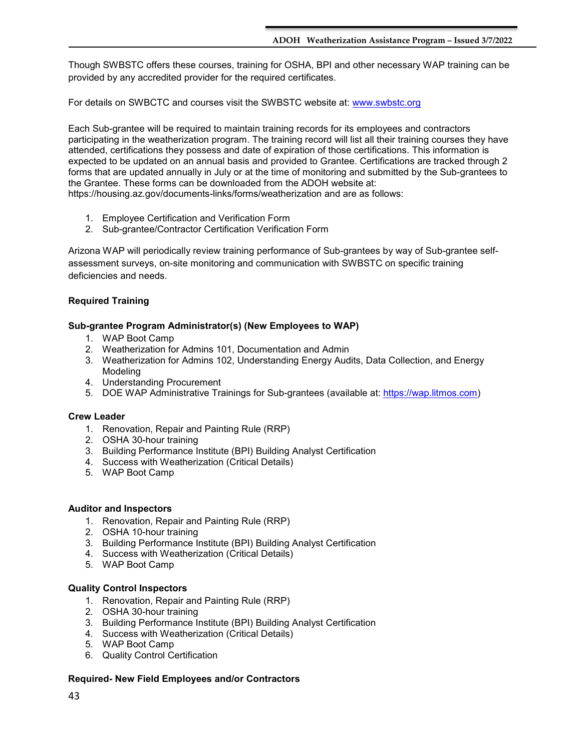Though SWBSTC offers these courses, training for OSHA, BPI and other necessary WAP training can be provided by any accredited provider for the required certificates.

For details on SWBCTC and courses visit the SWBSTC website at: [www.swbstc.org](http://www.swbstc.org/) 

Each Sub-grantee will be required to maintain training records for its employees and contractors participating in the weatherization program. The training record will list all their training courses they have attended, certifications they possess and date of expiration of those certifications. This information is expected to be updated on an annual basis and provided to Grantee. Certifications are tracked through 2 forms that are updated annually in July or at the time of monitoring and submitted by the Sub-grantees to the Grantee. These forms can be downloaded from the ADOH website at: https://housing.az.gov/documents-links/forms/weatherization and are as follows:

- 1. Employee Certification and Verification Form
- 2. Sub-grantee/Contractor Certification Verification Form

Arizona WAP will periodically review training performance of Sub-grantees by way of Sub-grantee selfassessment surveys, on-site monitoring and communication with SWBSTC on specific training deficiencies and needs.

## **Required Training**

## **Sub-grantee Program Administrator(s) (New Employees to WAP)**

- 1. WAP Boot Camp
- 2. Weatherization for Admins 101, Documentation and Admin
- 3. Weatherization for Admins 102, Understanding Energy Audits, Data Collection, and Energy Modeling
- 4. Understanding Procurement
- 5. DOE WAP Administrative Trainings for Sub-grantees (available at: [https://wap.litmos.com\)](https://wap.litmos.com/)

### **Crew Leader**

- 1. Renovation, Repair and Painting Rule (RRP)
- 2. OSHA 30-hour training
- 3. Building Performance Institute (BPI) Building Analyst Certification
- 4. Success with Weatherization (Critical Details)
- 5. WAP Boot Camp

### **Auditor and Inspectors**

- 1. Renovation, Repair and Painting Rule (RRP)
- 2. OSHA 10-hour training
- 3. Building Performance Institute (BPI) Building Analyst Certification
- 4. Success with Weatherization (Critical Details)
- 5. WAP Boot Camp

### **Quality Control Inspectors**

- 1. Renovation, Repair and Painting Rule (RRP)
- 2. OSHA 30-hour training
- 3. Building Performance Institute (BPI) Building Analyst Certification
- 4. Success with Weatherization (Critical Details)
- 5. WAP Boot Camp
- 6. Quality Control Certification

## **Required- New Field Employees and/or Contractors**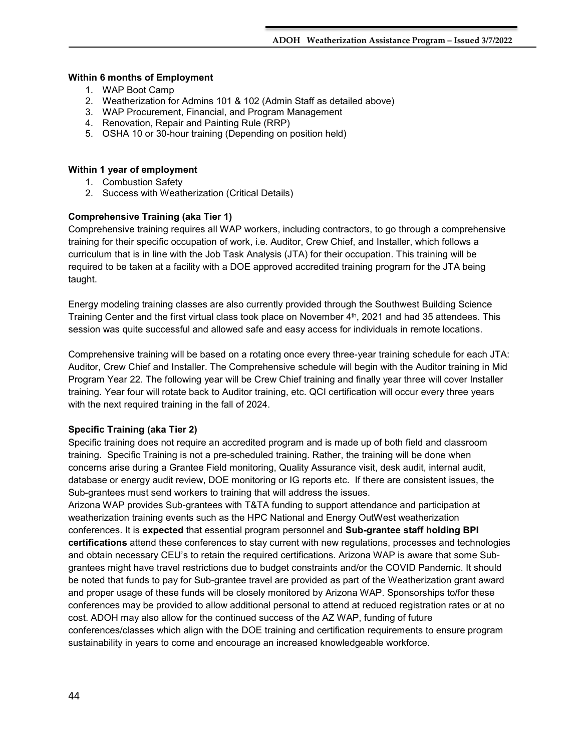#### **Within 6 months of Employment**

- 1. WAP Boot Camp
- 2. Weatherization for Admins 101 & 102 (Admin Staff as detailed above)
- 3. WAP Procurement, Financial, and Program Management
- 4. Renovation, Repair and Painting Rule (RRP)
- 5. OSHA 10 or 30-hour training (Depending on position held)

### **Within 1 year of employment**

- 1. Combustion Safety
- 2. Success with Weatherization (Critical Details)

## **Comprehensive Training (aka Tier 1)**

Comprehensive training requires all WAP workers, including contractors, to go through a comprehensive training for their specific occupation of work, i.e. Auditor, Crew Chief, and Installer, which follows a curriculum that is in line with the Job Task Analysis (JTA) for their occupation. This training will be required to be taken at a facility with a DOE approved accredited training program for the JTA being taught.

Energy modeling training classes are also currently provided through the Southwest Building Science Training Center and the first virtual class took place on November  $4<sup>th</sup>$ , 2021 and had 35 attendees. This session was quite successful and allowed safe and easy access for individuals in remote locations.

Comprehensive training will be based on a rotating once every three-year training schedule for each JTA: Auditor, Crew Chief and Installer. The Comprehensive schedule will begin with the Auditor training in Mid Program Year 22. The following year will be Crew Chief training and finally year three will cover Installer training. Year four will rotate back to Auditor training, etc. QCI certification will occur every three years with the next required training in the fall of 2024.

## **Specific Training (aka Tier 2)**

Specific training does not require an accredited program and is made up of both field and classroom training. Specific Training is not a pre-scheduled training. Rather, the training will be done when concerns arise during a Grantee Field monitoring, Quality Assurance visit, desk audit, internal audit, database or energy audit review, DOE monitoring or IG reports etc. If there are consistent issues, the Sub-grantees must send workers to training that will address the issues.

Arizona WAP provides Sub-grantees with T&TA funding to support attendance and participation at weatherization training events such as the HPC National and Energy OutWest weatherization conferences. It is **expected** that essential program personnel and **Sub-grantee staff holding BPI certifications** attend these conferences to stay current with new regulations, processes and technologies and obtain necessary CEU's to retain the required certifications. Arizona WAP is aware that some Subgrantees might have travel restrictions due to budget constraints and/or the COVID Pandemic. It should be noted that funds to pay for Sub-grantee travel are provided as part of the Weatherization grant award and proper usage of these funds will be closely monitored by Arizona WAP. Sponsorships to/for these conferences may be provided to allow additional personal to attend at reduced registration rates or at no cost. ADOH may also allow for the continued success of the AZ WAP, funding of future conferences/classes which align with the DOE training and certification requirements to ensure program sustainability in years to come and encourage an increased knowledgeable workforce.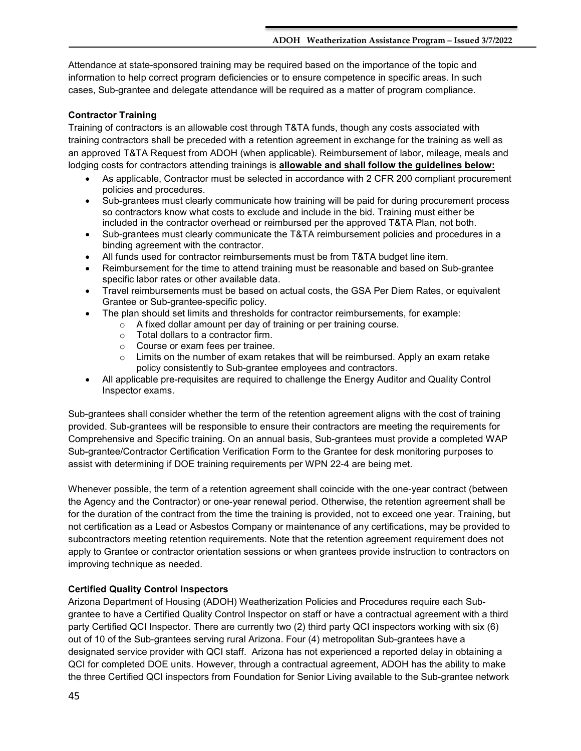Attendance at state-sponsored training may be required based on the importance of the topic and information to help correct program deficiencies or to ensure competence in specific areas. In such cases, Sub-grantee and delegate attendance will be required as a matter of program compliance.

## **Contractor Training**

Training of contractors is an allowable cost through T&TA funds, though any costs associated with training contractors shall be preceded with a retention agreement in exchange for the training as well as an approved T&TA Request from ADOH (when applicable). Reimbursement of labor, mileage, meals and lodging costs for contractors attending trainings is **allowable and shall follow the guidelines below:** 

- As applicable, Contractor must be selected in accordance with 2 CFR 200 compliant procurement policies and procedures.
- Sub-grantees must clearly communicate how training will be paid for during procurement process so contractors know what costs to exclude and include in the bid. Training must either be included in the contractor overhead or reimbursed per the approved T&TA Plan, not both.
- Sub-grantees must clearly communicate the T&TA reimbursement policies and procedures in a binding agreement with the contractor.
- All funds used for contractor reimbursements must be from T&TA budget line item.
- Reimbursement for the time to attend training must be reasonable and based on Sub-grantee specific labor rates or other available data.
- Travel reimbursements must be based on actual costs, the GSA Per Diem Rates, or equivalent Grantee or Sub-grantee-specific policy.
- The plan should set limits and thresholds for contractor reimbursements, for example:
	- o A fixed dollar amount per day of training or per training course.
		- o Total dollars to a contractor firm.
		- o Course or exam fees per trainee.
		- $\circ$  Limits on the number of exam retakes that will be reimbursed. Apply an exam retake policy consistently to Sub-grantee employees and contractors.
- All applicable pre-requisites are required to challenge the Energy Auditor and Quality Control Inspector exams.

Sub-grantees shall consider whether the term of the retention agreement aligns with the cost of training provided. Sub-grantees will be responsible to ensure their contractors are meeting the requirements for Comprehensive and Specific training. On an annual basis, Sub-grantees must provide a completed WAP Sub-grantee/Contractor Certification Verification Form to the Grantee for desk monitoring purposes to assist with determining if DOE training requirements per WPN 22-4 are being met.

Whenever possible, the term of a retention agreement shall coincide with the one-year contract (between the Agency and the Contractor) or one-year renewal period. Otherwise, the retention agreement shall be for the duration of the contract from the time the training is provided, not to exceed one year. Training, but not certification as a Lead or Asbestos Company or maintenance of any certifications, may be provided to subcontractors meeting retention requirements. Note that the retention agreement requirement does not apply to Grantee or contractor orientation sessions or when grantees provide instruction to contractors on improving technique as needed.

## **Certified Quality Control Inspectors**

Arizona Department of Housing (ADOH) Weatherization Policies and Procedures require each Subgrantee to have a Certified Quality Control Inspector on staff or have a contractual agreement with a third party Certified QCI Inspector. There are currently two (2) third party QCI inspectors working with six (6) out of 10 of the Sub-grantees serving rural Arizona. Four (4) metropolitan Sub-grantees have a designated service provider with QCI staff. Arizona has not experienced a reported delay in obtaining a QCI for completed DOE units. However, through a contractual agreement, ADOH has the ability to make the three Certified QCI inspectors from Foundation for Senior Living available to the Sub-grantee network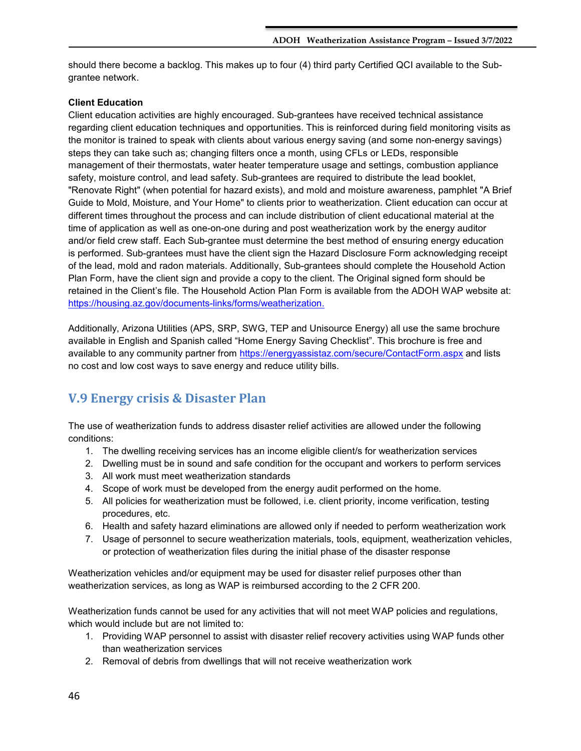should there become a backlog. This makes up to four (4) third party Certified QCI available to the Subgrantee network.

## **Client Education**

Client education activities are highly encouraged. Sub-grantees have received technical assistance regarding client education techniques and opportunities. This is reinforced during field monitoring visits as the monitor is trained to speak with clients about various energy saving (and some non-energy savings) steps they can take such as; changing filters once a month, using CFLs or LEDs, responsible management of their thermostats, water heater temperature usage and settings, combustion appliance safety, moisture control, and lead safety. Sub-grantees are required to distribute the lead booklet, "Renovate Right" (when potential for hazard exists), and mold and moisture awareness, pamphlet "A Brief Guide to Mold, Moisture, and Your Home" to clients prior to weatherization. Client education can occur at different times throughout the process and can include distribution of client educational material at the time of application as well as one-on-one during and post weatherization work by the energy auditor and/or field crew staff. Each Sub-grantee must determine the best method of ensuring energy education is performed. Sub-grantees must have the client sign the Hazard Disclosure Form acknowledging receipt of the lead, mold and radon materials. Additionally, Sub-grantees should complete the Household Action Plan Form, have the client sign and provide a copy to the client. The Original signed form should be retained in the Client's file. The Household Action Plan Form is available from the ADOH WAP website at: [https://housing.az.gov/documents-links/forms/weatherization.](https://housing.az.gov/documents-links/forms/weatherization)

Additionally, Arizona Utilities (APS, SRP, SWG, TEP and Unisource Energy) all use the same brochure available in English and Spanish called "Home Energy Saving Checklist". This brochure is free and available to any community partner from<https://energyassistaz.com/secure/ContactForm.aspx> and lists no cost and low cost ways to save energy and reduce utility bills.

## <span id="page-45-0"></span>**V.9 Energy crisis & Disaster Plan**

The use of weatherization funds to address disaster relief activities are allowed under the following conditions:

- 1. The dwelling receiving services has an income eligible client/s for weatherization services
- 2. Dwelling must be in sound and safe condition for the occupant and workers to perform services
- 3. All work must meet weatherization standards
- 4. Scope of work must be developed from the energy audit performed on the home.
- 5. All policies for weatherization must be followed, i.e. client priority, income verification, testing procedures, etc.
- 6. Health and safety hazard eliminations are allowed only if needed to perform weatherization work
- 7. Usage of personnel to secure weatherization materials, tools, equipment, weatherization vehicles, or protection of weatherization files during the initial phase of the disaster response

Weatherization vehicles and/or equipment may be used for disaster relief purposes other than weatherization services, as long as WAP is reimbursed according to the 2 CFR 200.

Weatherization funds cannot be used for any activities that will not meet WAP policies and regulations, which would include but are not limited to:

- 1. Providing WAP personnel to assist with disaster relief recovery activities using WAP funds other than weatherization services
- 2. Removal of debris from dwellings that will not receive weatherization work